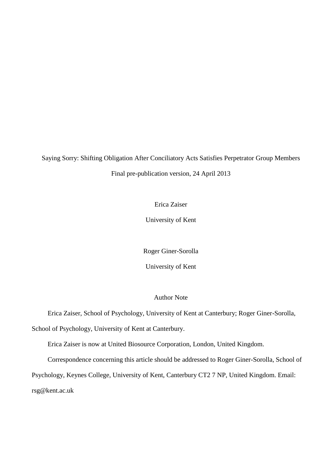Saying Sorry: Shifting Obligation After Conciliatory Acts Satisfies Perpetrator Group Members Final pre-publication version, 24 April 2013

Erica Zaiser

University of Kent

Roger Giner-Sorolla

University of Kent

# Author Note

Erica Zaiser, School of Psychology, University of Kent at Canterbury; Roger Giner-Sorolla,

School of Psychology, University of Kent at Canterbury.

Erica Zaiser is now at United Biosource Corporation, London, United Kingdom.

Correspondence concerning this article should be addressed to Roger Giner-Sorolla, School of Psychology, Keynes College, University of Kent, Canterbury CT2 7 NP, United Kingdom. Email: rsg@kent.ac.uk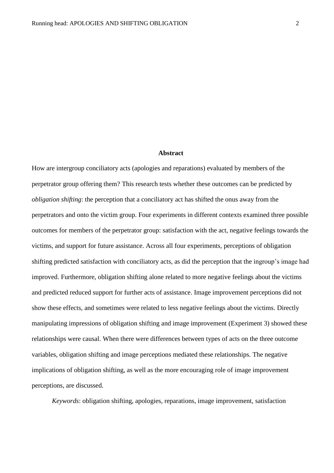#### **Abstract**

How are intergroup conciliatory acts (apologies and reparations) evaluated by members of the perpetrator group offering them? This research tests whether these outcomes can be predicted by *obligation shifting*: the perception that a conciliatory act has shifted the onus away from the perpetrators and onto the victim group. Four experiments in different contexts examined three possible outcomes for members of the perpetrator group: satisfaction with the act, negative feelings towards the victims, and support for future assistance. Across all four experiments, perceptions of obligation shifting predicted satisfaction with conciliatory acts, as did the perception that the ingroup's image had improved. Furthermore, obligation shifting alone related to more negative feelings about the victims and predicted reduced support for further acts of assistance. Image improvement perceptions did not show these effects, and sometimes were related to less negative feelings about the victims. Directly manipulating impressions of obligation shifting and image improvement (Experiment 3) showed these relationships were causal. When there were differences between types of acts on the three outcome variables, obligation shifting and image perceptions mediated these relationships. The negative implications of obligation shifting, as well as the more encouraging role of image improvement perceptions, are discussed.

*Keywords*: obligation shifting, apologies, reparations, image improvement, satisfaction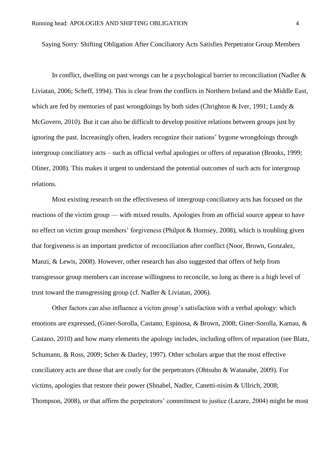Saying Sorry: Shifting Obligation After Conciliatory Acts Satisfies Perpetrator Group Members

In conflict, dwelling on past wrongs can be a psychological barrier to reconciliation (Nadler & Liviatan, 2006; Scheff, 1994). This is clear from the conflicts in Northern Ireland and the Middle East, which are fed by memories of past wrongdoings by both sides (Chrighton & Iver, 1991; Lundy & McGovern, 2010). But it can also be difficult to develop positive relations between groups just by ignoring the past. Increasingly often, leaders recognize their nations' bygone wrongdoings through intergroup conciliatory acts – such as official verbal apologies or offers of reparation (Brooks, 1999; Oliner, 2008). This makes it urgent to understand the potential outcomes of such acts for intergroup relations.

Most existing research on the effectiveness of intergroup conciliatory acts has focused on the reactions of the victim group — with mixed results. Apologies from an official source appear to have no effect on victim group members' forgiveness (Philpot & Hornsey, 2008), which is troubling given that forgiveness is an important predictor of reconciliation after conflict (Noor, Brown, Gonzalez, Manzi, & Lewis, 2008). However, other research has also suggested that offers of help from transgressor group members can increase willingness to reconcile, so long as there is a high level of trust toward the transgressing group (cf. Nadler & Liviatan, 2006).

Other factors can also influence a victim group's satisfaction with a verbal apology: which emotions are expressed, (Giner-Sorolla, Castano, Espinosa, & Brown, 2008; Giner-Sorolla, Kamau, & Castano, 2010) and how many elements the apology includes, including offers of reparation (see Blatz, Schumann, & Ross, 2009; Scher & Darley, 1997). Other scholars argue that the most effective conciliatory acts are those that are costly for the perpetrators (Ohtsubo & Watanabe, 2009). For victims, apologies that restore their power (Shnabel, Nadler, Canetti-nisim & Ullrich, 2008; Thompson, 2008), or that affirm the perpetrators' commitment to justice (Lazare, 2004) might be most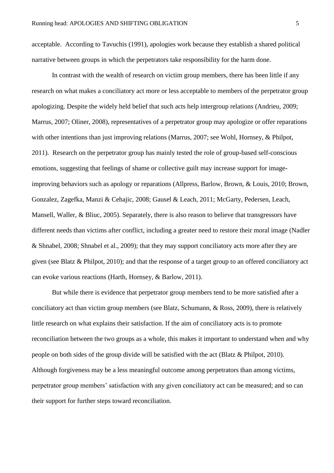acceptable. According to Tavuchis (1991), apologies work because they establish a shared political narrative between groups in which the perpetrators take responsibility for the harm done.

In contrast with the wealth of research on victim group members, there has been little if any research on what makes a conciliatory act more or less acceptable to members of the perpetrator group apologizing. Despite the widely held belief that such acts help intergroup relations (Andrieu, 2009; Marrus, 2007; Oliner, 2008), representatives of a perpetrator group may apologize or offer reparations with other intentions than just improving relations (Marrus, 2007; see Wohl, Hornsey, & Philpot, 2011). Research on the perpetrator group has mainly tested the role of group-based self-conscious emotions, suggesting that feelings of shame or collective guilt may increase support for imageimproving behaviors such as apology or reparations (Allpress, Barlow, Brown, & Louis, 2010; Brown, Gonzalez, Zagefka, Manzi & Cehajic, 2008; Gausel & Leach, 2011; McGarty, Pedersen, Leach, Mansell, Waller, & Bliuc, 2005). Separately, there is also reason to believe that transgressors have different needs than victims after conflict, including a greater need to restore their moral image (Nadler & Shnabel, 2008; Shnabel et al., 2009); that they may support conciliatory acts more after they are given (see Blatz & Philpot, 2010); and that the response of a target group to an offered conciliatory act can evoke various reactions (Harth, Hornsey, & Barlow, 2011).

But while there is evidence that perpetrator group members tend to be more satisfied after a conciliatory act than victim group members (see Blatz, Schumann, & Ross, 2009), there is relatively little research on what explains their satisfaction. If the aim of conciliatory acts is to promote reconciliation between the two groups as a whole, this makes it important to understand when and why people on both sides of the group divide will be satisfied with the act (Blatz & Philpot, 2010). Although forgiveness may be a less meaningful outcome among perpetrators than among victims, perpetrator group members' satisfaction with any given conciliatory act can be measured; and so can their support for further steps toward reconciliation.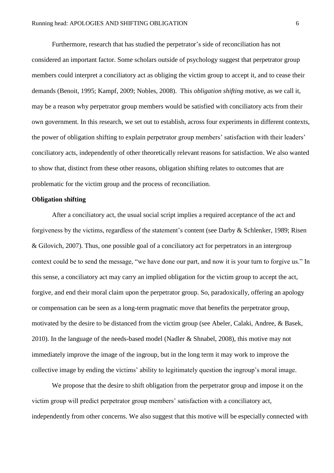Furthermore, research that has studied the perpetrator's side of reconciliation has not considered an important factor. Some scholars outside of psychology suggest that perpetrator group members could interpret a conciliatory act as obliging the victim group to accept it, and to cease their demands (Benoit, 1995; Kampf, 2009; Nobles, 2008). This *obligation shifting* motive, as we call it, may be a reason why perpetrator group members would be satisfied with conciliatory acts from their own government. In this research, we set out to establish, across four experiments in different contexts, the power of obligation shifting to explain perpetrator group members' satisfaction with their leaders' conciliatory acts, independently of other theoretically relevant reasons for satisfaction. We also wanted to show that, distinct from these other reasons, obligation shifting relates to outcomes that are problematic for the victim group and the process of reconciliation.

## **Obligation shifting**

After a conciliatory act, the usual social script implies a required acceptance of the act and forgiveness by the victims, regardless of the statement's content (see Darby & Schlenker, 1989; Risen & Gilovich, 2007). Thus, one possible goal of a conciliatory act for perpetrators in an intergroup context could be to send the message, "we have done our part, and now it is your turn to forgive us." In this sense, a conciliatory act may carry an implied obligation for the victim group to accept the act, forgive, and end their moral claim upon the perpetrator group. So, paradoxically, offering an apology or compensation can be seen as a long-term pragmatic move that benefits the perpetrator group, motivated by the desire to be distanced from the victim group (see Abeler, Calaki, Andree, & Basek, 2010). In the language of the needs-based model (Nadler & Shnabel, 2008), this motive may not immediately improve the image of the ingroup, but in the long term it may work to improve the collective image by ending the victims' ability to legitimately question the ingroup's moral image.

We propose that the desire to shift obligation from the perpetrator group and impose it on the victim group will predict perpetrator group members' satisfaction with a conciliatory act, independently from other concerns. We also suggest that this motive will be especially connected with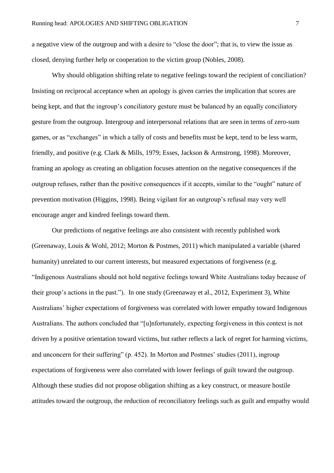a negative view of the outgroup and with a desire to "close the door"; that is, to view the issue as closed, denying further help or cooperation to the victim group (Nobles, 2008).

Why should obligation shifting relate to negative feelings toward the recipient of conciliation? Insisting on reciprocal acceptance when an apology is given carries the implication that scores are being kept, and that the ingroup's conciliatory gesture must be balanced by an equally conciliatory gesture from the outgroup. Intergroup and interpersonal relations that are seen in terms of zero-sum games, or as "exchanges" in which a tally of costs and benefits must be kept, tend to be less warm, friendly, and positive (e.g. Clark & Mills, 1979; Esses, Jackson & Armstrong, 1998). Moreover, framing an apology as creating an obligation focuses attention on the negative consequences if the outgroup refuses, rather than the positive consequences if it accepts, similar to the "ought" nature of prevention motivation (Higgins, 1998). Being vigilant for an outgroup's refusal may very well encourage anger and kindred feelings toward them.

Our predictions of negative feelings are also consistent with recently published work (Greenaway, Louis & Wohl, 2012; Morton & Postmes, 2011) which manipulated a variable (shared humanity) unrelated to our current interests, but measured expectations of forgiveness (e.g. "Indigenous Australians should not hold negative feelings toward White Australians today because of their group's actions in the past."). In one study (Greenaway et al., 2012, Experiment 3), White Australians' higher expectations of forgiveness was correlated with lower empathy toward Indigenous Australians. The authors concluded that "[u]nfortunately, expecting forgiveness in this context is not driven by a positive orientation toward victims, but rather reflects a lack of regret for harming victims, and unconcern for their suffering" (p. 452). In Morton and Postmes' studies (2011), ingroup expectations of forgiveness were also correlated with lower feelings of guilt toward the outgroup. Although these studies did not propose obligation shifting as a key construct, or measure hostile attitudes toward the outgroup, the reduction of reconciliatory feelings such as guilt and empathy would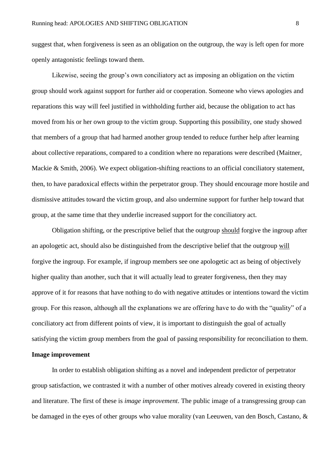suggest that, when forgiveness is seen as an obligation on the outgroup, the way is left open for more openly antagonistic feelings toward them.

Likewise, seeing the group's own conciliatory act as imposing an obligation on the victim group should work against support for further aid or cooperation. Someone who views apologies and reparations this way will feel justified in withholding further aid, because the obligation to act has moved from his or her own group to the victim group. Supporting this possibility, one study showed that members of a group that had harmed another group tended to reduce further help after learning about collective reparations, compared to a condition where no reparations were described (Maitner, Mackie & Smith, 2006). We expect obligation-shifting reactions to an official conciliatory statement, then, to have paradoxical effects within the perpetrator group. They should encourage more hostile and dismissive attitudes toward the victim group, and also undermine support for further help toward that group, at the same time that they underlie increased support for the conciliatory act.

Obligation shifting, or the prescriptive belief that the outgroup should forgive the ingroup after an apologetic act, should also be distinguished from the descriptive belief that the outgroup will forgive the ingroup. For example, if ingroup members see one apologetic act as being of objectively higher quality than another, such that it will actually lead to greater forgiveness, then they may approve of it for reasons that have nothing to do with negative attitudes or intentions toward the victim group. For this reason, although all the explanations we are offering have to do with the "quality" of a conciliatory act from different points of view, it is important to distinguish the goal of actually satisfying the victim group members from the goal of passing responsibility for reconciliation to them.

# **Image improvement**

In order to establish obligation shifting as a novel and independent predictor of perpetrator group satisfaction, we contrasted it with a number of other motives already covered in existing theory and literature. The first of these is *image improvement*. The public image of a transgressing group can be damaged in the eyes of other groups who value morality (van Leeuwen, van den Bosch, Castano, &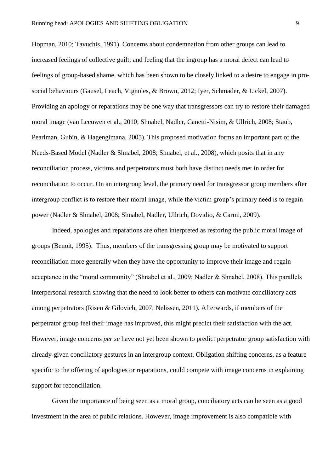Hopman, 2010; Tavuchis, 1991). Concerns about condemnation from other groups can lead to increased feelings of collective guilt; and feeling that the ingroup has a moral defect can lead to feelings of group-based shame, which has been shown to be closely linked to a desire to engage in prosocial behaviours (Gausel, Leach, Vignoles, & Brown, 2012; Iyer, Schmader, & Lickel, 2007). Providing an apology or reparations may be one way that transgressors can try to restore their damaged moral image (van Leeuwen et al., 2010; Shnabel, Nadler, Canetti-Nisim, & Ullrich, 2008; Staub, Pearlman, Gubin, & Hagengimana, 2005). This proposed motivation forms an important part of the Needs-Based Model (Nadler & Shnabel, 2008; Shnabel, et al., 2008), which posits that in any reconciliation process, victims and perpetrators must both have distinct needs met in order for reconciliation to occur. On an intergroup level, the primary need for transgressor group members after intergroup conflict is to restore their moral image, while the victim group's primary need is to regain power (Nadler & Shnabel, 2008; Shnabel, Nadler, Ullrich, Dovidio, & Carmi, 2009).

Indeed, apologies and reparations are often interpreted as restoring the public moral image of groups (Benoit, 1995). Thus, members of the transgressing group may be motivated to support reconciliation more generally when they have the opportunity to improve their image and regain acceptance in the "moral community" (Shnabel et al., 2009; Nadler & Shnabel, 2008). This parallels interpersonal research showing that the need to look better to others can motivate conciliatory acts among perpetrators (Risen & Gilovich, 2007; Nelissen, 2011). Afterwards, if members of the perpetrator group feel their image has improved, this might predict their satisfaction with the act. However, image concerns *per se* have not yet been shown to predict perpetrator group satisfaction with already-given conciliatory gestures in an intergroup context. Obligation shifting concerns, as a feature specific to the offering of apologies or reparations, could compete with image concerns in explaining support for reconciliation.

Given the importance of being seen as a moral group, conciliatory acts can be seen as a good investment in the area of public relations. However, image improvement is also compatible with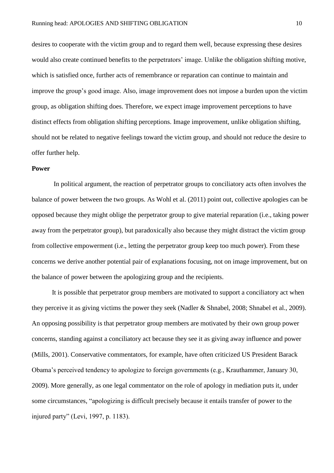desires to cooperate with the victim group and to regard them well, because expressing these desires would also create continued benefits to the perpetrators' image. Unlike the obligation shifting motive, which is satisfied once, further acts of remembrance or reparation can continue to maintain and improve the group's good image. Also, image improvement does not impose a burden upon the victim group, as obligation shifting does. Therefore, we expect image improvement perceptions to have distinct effects from obligation shifting perceptions. Image improvement, unlike obligation shifting, should not be related to negative feelings toward the victim group, and should not reduce the desire to offer further help.

#### **Power**

In political argument, the reaction of perpetrator groups to conciliatory acts often involves the balance of power between the two groups. As Wohl et al. (2011) point out, collective apologies can be opposed because they might oblige the perpetrator group to give material reparation (i.e., taking power away from the perpetrator group), but paradoxically also because they might distract the victim group from collective empowerment (i.e., letting the perpetrator group keep too much power). From these concerns we derive another potential pair of explanations focusing, not on image improvement, but on the balance of power between the apologizing group and the recipients.

It is possible that perpetrator group members are motivated to support a conciliatory act when they perceive it as giving victims the power they seek (Nadler & Shnabel, 2008; Shnabel et al., 2009). An opposing possibility is that perpetrator group members are motivated by their own group power concerns, standing against a conciliatory act because they see it as giving away influence and power (Mills, 2001). Conservative commentators, for example, have often criticized US President Barack Obama's perceived tendency to apologize to foreign governments (e.g., Krauthammer, January 30, 2009). More generally, as one legal commentator on the role of apology in mediation puts it, under some circumstances, "apologizing is difficult precisely because it entails transfer of power to the injured party" (Levi, 1997, p. 1183).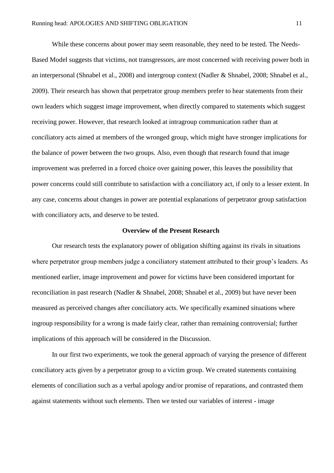While these concerns about power may seem reasonable, they need to be tested. The Needs-Based Model suggests that victims, not transgressors, are most concerned with receiving power both in an interpersonal (Shnabel et al., 2008) and intergroup context (Nadler & Shnabel, 2008; Shnabel et al., 2009). Their research has shown that perpetrator group members prefer to hear statements from their own leaders which suggest image improvement, when directly compared to statements which suggest receiving power. However, that research looked at intragroup communication rather than at conciliatory acts aimed at members of the wronged group, which might have stronger implications for the balance of power between the two groups. Also, even though that research found that image improvement was preferred in a forced choice over gaining power, this leaves the possibility that power concerns could still contribute to satisfaction with a conciliatory act, if only to a lesser extent. In any case, concerns about changes in power are potential explanations of perpetrator group satisfaction with conciliatory acts, and deserve to be tested.

## **Overview of the Present Research**

Our research tests the explanatory power of obligation shifting against its rivals in situations where perpetrator group members judge a conciliatory statement attributed to their group's leaders. As mentioned earlier, image improvement and power for victims have been considered important for reconciliation in past research (Nadler & Shnabel, 2008; Shnabel et al., 2009) but have never been measured as perceived changes after conciliatory acts. We specifically examined situations where ingroup responsibility for a wrong is made fairly clear, rather than remaining controversial; further implications of this approach will be considered in the Discussion.

In our first two experiments, we took the general approach of varying the presence of different conciliatory acts given by a perpetrator group to a victim group. We created statements containing elements of conciliation such as a verbal apology and/or promise of reparations, and contrasted them against statements without such elements. Then we tested our variables of interest - image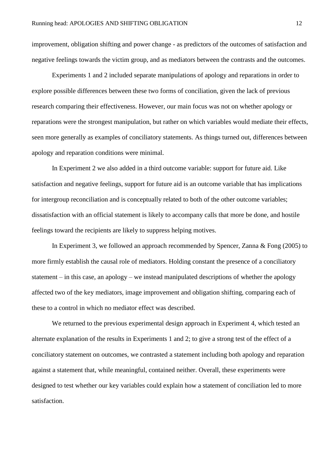improvement, obligation shifting and power change - as predictors of the outcomes of satisfaction and negative feelings towards the victim group, and as mediators between the contrasts and the outcomes.

Experiments 1 and 2 included separate manipulations of apology and reparations in order to explore possible differences between these two forms of conciliation, given the lack of previous research comparing their effectiveness. However, our main focus was not on whether apology or reparations were the strongest manipulation, but rather on which variables would mediate their effects, seen more generally as examples of conciliatory statements. As things turned out, differences between apology and reparation conditions were minimal.

In Experiment 2 we also added in a third outcome variable: support for future aid. Like satisfaction and negative feelings, support for future aid is an outcome variable that has implications for intergroup reconciliation and is conceptually related to both of the other outcome variables; dissatisfaction with an official statement is likely to accompany calls that more be done, and hostile feelings toward the recipients are likely to suppress helping motives.

In Experiment 3, we followed an approach recommended by Spencer, Zanna & Fong (2005) to more firmly establish the causal role of mediators. Holding constant the presence of a conciliatory statement – in this case, an apology – we instead manipulated descriptions of whether the apology affected two of the key mediators, image improvement and obligation shifting, comparing each of these to a control in which no mediator effect was described.

We returned to the previous experimental design approach in Experiment 4, which tested an alternate explanation of the results in Experiments 1 and 2; to give a strong test of the effect of a conciliatory statement on outcomes, we contrasted a statement including both apology and reparation against a statement that, while meaningful, contained neither. Overall, these experiments were designed to test whether our key variables could explain how a statement of conciliation led to more satisfaction.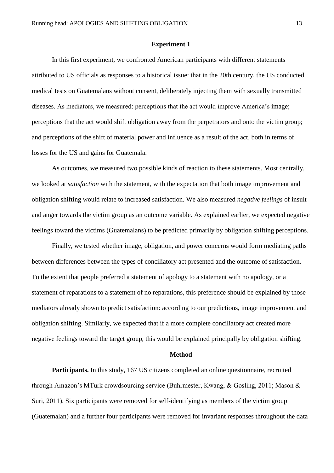#### **Experiment 1**

In this first experiment, we confronted American participants with different statements attributed to US officials as responses to a historical issue: that in the 20th century, the US conducted medical tests on Guatemalans without consent, deliberately injecting them with sexually transmitted diseases. As mediators, we measured: perceptions that the act would improve America's image; perceptions that the act would shift obligation away from the perpetrators and onto the victim group; and perceptions of the shift of material power and influence as a result of the act, both in terms of losses for the US and gains for Guatemala.

As outcomes, we measured two possible kinds of reaction to these statements. Most centrally, we looked at *satisfaction* with the statement, with the expectation that both image improvement and obligation shifting would relate to increased satisfaction. We also measured *negative feelings* of insult and anger towards the victim group as an outcome variable. As explained earlier, we expected negative feelings toward the victims (Guatemalans) to be predicted primarily by obligation shifting perceptions.

Finally, we tested whether image, obligation, and power concerns would form mediating paths between differences between the types of conciliatory act presented and the outcome of satisfaction. To the extent that people preferred a statement of apology to a statement with no apology, or a statement of reparations to a statement of no reparations, this preference should be explained by those mediators already shown to predict satisfaction: according to our predictions, image improvement and obligation shifting. Similarly, we expected that if a more complete conciliatory act created more negative feelings toward the target group, this would be explained principally by obligation shifting.

#### **Method**

**Participants.** In this study, 167 US citizens completed an online questionnaire, recruited through Amazon's MTurk crowdsourcing service (Buhrmester, Kwang, & Gosling, 2011; Mason & Suri, 2011). Six participants were removed for self-identifying as members of the victim group (Guatemalan) and a further four participants were removed for invariant responses throughout the data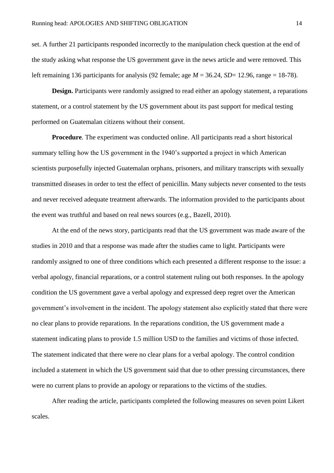set. A further 21 participants responded incorrectly to the manipulation check question at the end of the study asking what response the US government gave in the news article and were removed. This left remaining 136 participants for analysis (92 female; age *M* = 36.24, *SD*= 12.96, range = 18-78).

**Design.** Participants were randomly assigned to read either an apology statement, a reparations statement, or a control statement by the US government about its past support for medical testing performed on Guatemalan citizens without their consent.

**Procedure***.* The experiment was conducted online. All participants read a short historical summary telling how the US government in the 1940's supported a project in which American scientists purposefully injected Guatemalan orphans, prisoners, and military transcripts with sexually transmitted diseases in order to test the effect of penicillin. Many subjects never consented to the tests and never received adequate treatment afterwards. The information provided to the participants about the event was truthful and based on real news sources (e.g., Bazell, 2010).

At the end of the news story, participants read that the US government was made aware of the studies in 2010 and that a response was made after the studies came to light. Participants were randomly assigned to one of three conditions which each presented a different response to the issue: a verbal apology, financial reparations, or a control statement ruling out both responses. In the apology condition the US government gave a verbal apology and expressed deep regret over the American government's involvement in the incident. The apology statement also explicitly stated that there were no clear plans to provide reparations. In the reparations condition, the US government made a statement indicating plans to provide 1.5 million USD to the families and victims of those infected. The statement indicated that there were no clear plans for a verbal apology. The control condition included a statement in which the US government said that due to other pressing circumstances, there were no current plans to provide an apology or reparations to the victims of the studies.

After reading the article, participants completed the following measures on seven point Likert scales.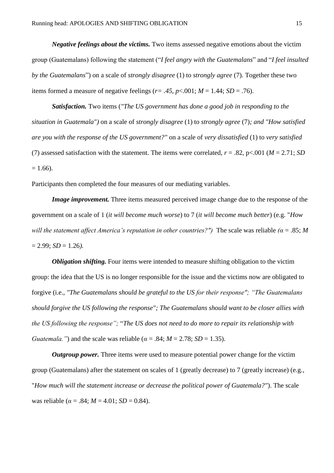*Negative feelings about the victims.* Two items assessed negative emotions about the victim group (Guatemalans) following the statement ("*I feel angry with the Guatemalans*" and "*I feel insulted by the Guatemalans*") on a scale of *strongly disagree* (1) to *strongly agree* (7). Together these two items formed a measure of negative feelings ( $r = .45$ ,  $p < .001$ ;  $M = 1.44$ ;  $SD = .76$ ).

*Satisfaction.* Two items (*"The US government has done a good job in responding to the situation in Guatemala")* on a scale of *strongly disagree* (1) to *strongly agree* (7)*; and "How satisfied are you with the response of the US government?"* on a scale of *very dissatisfied* (1) to *very satisfied*  (7) assessed satisfaction with the statement. The items were correlated,  $r = .82$ , p<.001 ( $M = 2.71$ ; *SD*)  $= 1.66$ ).

Participants then completed the four measures of our mediating variables.

*Image improvement.* Three items measured perceived image change due to the response of the government on a scale of 1 (*it will become much worse*) to 7 (*it will become much better*) (e.g. "*How will the statement affect America's reputation in other countries?")* The scale was reliable  $(α = .85; M)$  $= 2.99$ ; *SD*  $= 1.26$ *).* 

*Obligation shifting.* Four items were intended to measure shifting obligation to the victim group: the idea that the US is no longer responsible for the issue and the victims now are obligated to forgive (i.e., *"The Guatemalans should be grateful to the US for their response"; "The Guatemalans should forgive the US following the response"; The Guatemalans should want to be closer allies with the US following the response";* "*The US does not need to do more to repair its relationship with Guatemala."*) and the scale was reliable ( $\alpha$  = .84;  $M$  = 2.78; *SD* = 1.35).

*Outgroup power.* Three items were used to measure potential power change for the victim group (Guatemalans) after the statement on scales of 1 (greatly decrease) to 7 (greatly increase) (e.g., "*How much will the statement increase or decrease the political power of Guatemala?"*). The scale was reliable ( $\alpha = .84$ ;  $M = 4.01$ ;  $SD = 0.84$ ).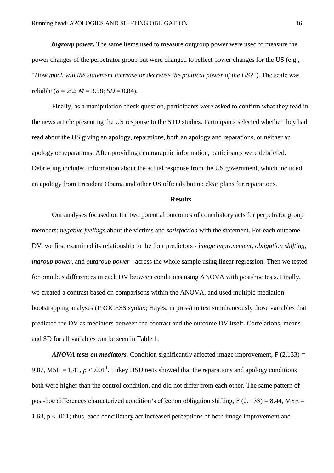*Ingroup power*. The same items used to measure outgroup power were used to measure the power changes of the perpetrator group but were changed to reflect power changes for the US (e.g., "*How much will the statement increase or decrease the political power of the US?*"). The scale was reliable ( $\alpha = .82$ ;  $M = 3.58$ ; *SD* = 0.84).

Finally, as a manipulation check question, participants were asked to confirm what they read in the news article presenting the US response to the STD studies. Participants selected whether they had read about the US giving an apology, reparations, both an apology and reparations, or neither an apology or reparations. After providing demographic information, participants were debriefed. Debriefing included information about the actual response from the US government, which included an apology from President Obama and other US officials but no clear plans for reparations.

## **Results**

Our analyses focused on the two potential outcomes of conciliatory acts for perpetrator group members: *negative feelings* about the victims and *satisfaction* with the statement. For each outcome DV, we first examined its relationship to the four predictors - i*mage improvement*, *obligation shifting*, *ingroup power*, and *outgroup power* - across the whole sample using linear regression. Then we tested for omnibus differences in each DV between conditions using ANOVA with post-hoc tests. Finally, we created a contrast based on comparisons within the ANOVA, and used multiple mediation bootstrapping analyses (PROCESS syntax; Hayes, in press) to test simultaneously those variables that predicted the DV as mediators between the contrast and the outcome DV itself. Correlations, means and SD for all variables can be seen in Table 1.

*ANOVA tests on mediators.* Condition significantly affected image improvement, F (2,133) = 9.87, MSE = 1.41,  $p < .001<sup>1</sup>$ . Tukey HSD tests showed that the reparations and apology conditions both were higher than the control condition, and did not differ from each other. The same pattern of post-hoc differences characterized condition's effect on obligation shifting,  $F(2, 133) = 8.44$ , MSE = 1.63, p < .001; thus, each conciliatory act increased perceptions of both image improvement and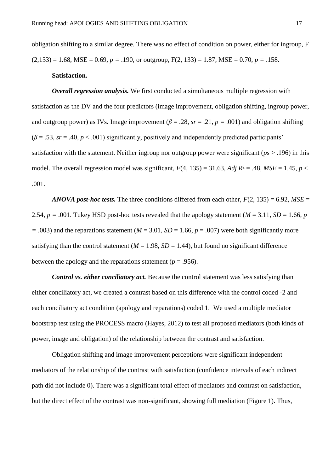#### **Satisfaction.**

*Overall regression analysis.* We first conducted a simultaneous multiple regression with satisfaction as the DV and the four predictors (image improvement, obligation shifting, ingroup power, and outgroup power) as IVs. Image improvement ( $\beta = .28$ ,  $sr = .21$ ,  $p = .001$ ) and obligation shifting  $(\beta = .53, sr = .40, p < .001)$  significantly, positively and independently predicted participants' satisfaction with the statement. Neither ingroup nor outgroup power were significant (*p*s > .196) in this model. The overall regression model was significant,  $F(4, 135) = 31.63$ , *Adj R*<sup>2</sup> = .48, *MSE* = 1.45, *p* < .001.

*ANOVA post-hoc tests.* The three conditions differed from each other,  $F(2, 135) = 6.92$ ,  $MSE =$ 2.54,  $p = .001$ . Tukey HSD post-hoc tests revealed that the apology statement ( $M = 3.11$ ,  $SD = 1.66$ ,  $p = 1.66$  $= .003$ ) and the reparations statement ( $M = 3.01$ ,  $SD = 1.66$ ,  $p = .007$ ) were both significantly more satisfying than the control statement ( $M = 1.98$ ,  $SD = 1.44$ ), but found no significant difference between the apology and the reparations statement ( $p = .956$ ).

*Control vs. either conciliatory act.* Because the control statement was less satisfying than either conciliatory act, we created a contrast based on this difference with the control coded -2 and each conciliatory act condition (apology and reparations) coded 1. We used a multiple mediator bootstrap test using the PROCESS macro (Hayes, 2012) to test all proposed mediators (both kinds of power, image and obligation) of the relationship between the contrast and satisfaction.

Obligation shifting and image improvement perceptions were significant independent mediators of the relationship of the contrast with satisfaction (confidence intervals of each indirect path did not include 0). There was a significant total effect of mediators and contrast on satisfaction, but the direct effect of the contrast was non-significant, showing full mediation (Figure 1). Thus,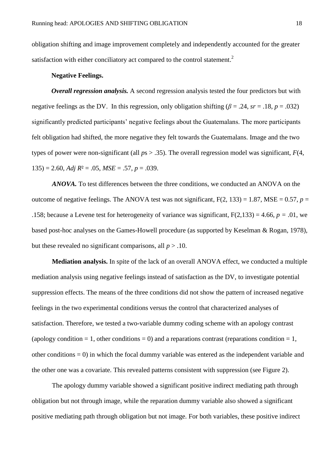obligation shifting and image improvement completely and independently accounted for the greater satisfaction with either conciliatory act compared to the control statement.<sup>2</sup>

#### **Negative Feelings.**

*Overall regression analysis.* A second regression analysis tested the four predictors but with negative feelings as the DV. In this regression, only obligation shifting ( $\beta$  = .24, *sr* = .18, *p* = .032) significantly predicted participants' negative feelings about the Guatemalans. The more participants felt obligation had shifted, the more negative they felt towards the Guatemalans. Image and the two types of power were non-significant (all *p*s > .35). The overall regression model was significant, *F*(4,  $135$ ) = 2.60, *Adj R*<sup>2</sup> = .05, *MSE* = .57, *p* = .039.

*ANOVA.* To test differences between the three conditions, we conducted an ANOVA on the outcome of negative feelings. The ANOVA test was not significant,  $F(2, 133) = 1.87$ , MSE = 0.57,  $p =$ .158; because a Levene test for heterogeneity of variance was significant, F(2,133) = 4.66, *p =* .01, we based post-hoc analyses on the Games-Howell procedure (as supported by Keselman & Rogan, 1978), but these revealed no significant comparisons, all  $p > 0.10$ .

**Mediation analysis.** In spite of the lack of an overall ANOVA effect, we conducted a multiple mediation analysis using negative feelings instead of satisfaction as the DV, to investigate potential suppression effects. The means of the three conditions did not show the pattern of increased negative feelings in the two experimental conditions versus the control that characterized analyses of satisfaction. Therefore, we tested a two-variable dummy coding scheme with an apology contrast (apology condition  $= 1$ , other conditions  $= 0$ ) and a reparations contrast (reparations condition  $= 1$ , other conditions  $= 0$ ) in which the focal dummy variable was entered as the independent variable and the other one was a covariate. This revealed patterns consistent with suppression (see Figure 2).

The apology dummy variable showed a significant positive indirect mediating path through obligation but not through image, while the reparation dummy variable also showed a significant positive mediating path through obligation but not image. For both variables, these positive indirect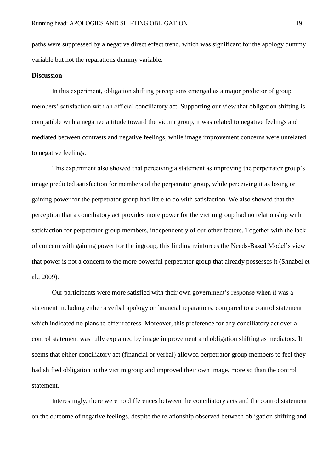paths were suppressed by a negative direct effect trend, which was significant for the apology dummy variable but not the reparations dummy variable.

#### **Discussion**

In this experiment, obligation shifting perceptions emerged as a major predictor of group members' satisfaction with an official conciliatory act. Supporting our view that obligation shifting is compatible with a negative attitude toward the victim group, it was related to negative feelings and mediated between contrasts and negative feelings, while image improvement concerns were unrelated to negative feelings.

This experiment also showed that perceiving a statement as improving the perpetrator group's image predicted satisfaction for members of the perpetrator group, while perceiving it as losing or gaining power for the perpetrator group had little to do with satisfaction. We also showed that the perception that a conciliatory act provides more power for the victim group had no relationship with satisfaction for perpetrator group members, independently of our other factors. Together with the lack of concern with gaining power for the ingroup, this finding reinforces the Needs-Based Model's view that power is not a concern to the more powerful perpetrator group that already possesses it (Shnabel et al., 2009).

Our participants were more satisfied with their own government's response when it was a statement including either a verbal apology or financial reparations, compared to a control statement which indicated no plans to offer redress. Moreover, this preference for any conciliatory act over a control statement was fully explained by image improvement and obligation shifting as mediators. It seems that either conciliatory act (financial or verbal) allowed perpetrator group members to feel they had shifted obligation to the victim group and improved their own image, more so than the control statement.

Interestingly, there were no differences between the conciliatory acts and the control statement on the outcome of negative feelings, despite the relationship observed between obligation shifting and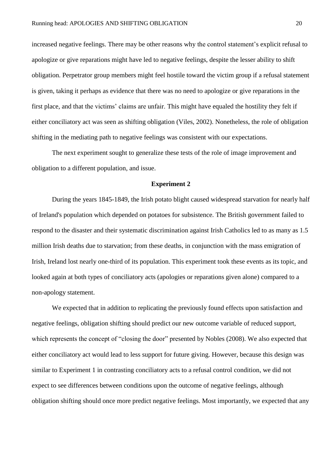increased negative feelings. There may be other reasons why the control statement's explicit refusal to apologize or give reparations might have led to negative feelings, despite the lesser ability to shift obligation. Perpetrator group members might feel hostile toward the victim group if a refusal statement is given, taking it perhaps as evidence that there was no need to apologize or give reparations in the first place, and that the victims' claims are unfair. This might have equaled the hostility they felt if either conciliatory act was seen as shifting obligation (Viles, 2002). Nonetheless, the role of obligation shifting in the mediating path to negative feelings was consistent with our expectations.

The next experiment sought to generalize these tests of the role of image improvement and obligation to a different population, and issue.

### **Experiment 2**

During the years 1845-1849, the Irish potato blight caused widespread starvation for nearly half of Ireland's population which depended on potatoes for subsistence. The British government failed to respond to the disaster and their systematic discrimination against Irish Catholics led to as many as 1.5 million Irish deaths due to starvation; from these deaths, in conjunction with the mass emigration of Irish, Ireland lost nearly one-third of its population. This experiment took these events as its topic, and looked again at both types of conciliatory acts (apologies or reparations given alone) compared to a non-apology statement.

We expected that in addition to replicating the previously found effects upon satisfaction and negative feelings, obligation shifting should predict our new outcome variable of reduced support, which represents the concept of "closing the door" presented by Nobles (2008). We also expected that either conciliatory act would lead to less support for future giving. However, because this design was similar to Experiment 1 in contrasting conciliatory acts to a refusal control condition, we did not expect to see differences between conditions upon the outcome of negative feelings, although obligation shifting should once more predict negative feelings. Most importantly, we expected that any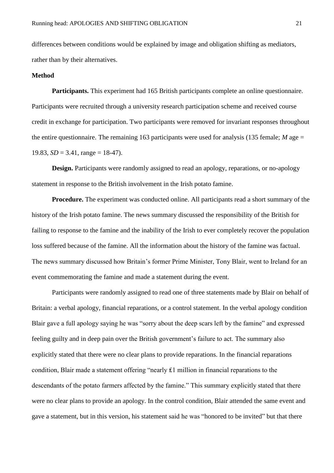differences between conditions would be explained by image and obligation shifting as mediators, rather than by their alternatives.

### **Method**

**Participants.** This experiment had 165 British participants complete an online questionnaire. Participants were recruited through a university research participation scheme and received course credit in exchange for participation. Two participants were removed for invariant responses throughout the entire questionnaire. The remaining 163 participants were used for analysis (135 female; *M* age = 19.83,  $SD = 3.41$ , range = 18-47).

**Design.** Participants were randomly assigned to read an apology, reparations, or no-apology statement in response to the British involvement in the Irish potato famine.

**Procedure.** The experiment was conducted online. All participants read a short summary of the history of the Irish potato famine. The news summary discussed the responsibility of the British for failing to response to the famine and the inability of the Irish to ever completely recover the population loss suffered because of the famine. All the information about the history of the famine was factual. The news summary discussed how Britain's former Prime Minister, Tony Blair, went to Ireland for an event commemorating the famine and made a statement during the event.

Participants were randomly assigned to read one of three statements made by Blair on behalf of Britain: a verbal apology, financial reparations, or a control statement. In the verbal apology condition Blair gave a full apology saying he was "sorry about the deep scars left by the famine" and expressed feeling guilty and in deep pain over the British government's failure to act. The summary also explicitly stated that there were no clear plans to provide reparations. In the financial reparations condition, Blair made a statement offering "nearly ₤1 million in financial reparations to the descendants of the potato farmers affected by the famine." This summary explicitly stated that there were no clear plans to provide an apology. In the control condition, Blair attended the same event and gave a statement, but in this version, his statement said he was "honored to be invited" but that there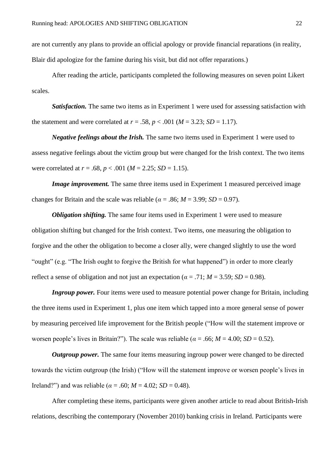are not currently any plans to provide an official apology or provide financial reparations (in reality, Blair did apologize for the famine during his visit, but did not offer reparations.)

After reading the article, participants completed the following measures on seven point Likert scales.

**Satisfaction.** The same two items as in Experiment 1 were used for assessing satisfaction with the statement and were correlated at  $r = .58$ ,  $p < .001$  ( $M = 3.23$ ;  $SD = 1.17$ ).

*Negative feelings about the Irish.* The same two items used in Experiment 1 were used to assess negative feelings about the victim group but were changed for the Irish context. The two items were correlated at  $r = .68$ ,  $p < .001$  ( $M = 2.25$ ; *SD* = 1.15).

*Image improvement*. The same three items used in Experiment 1 measured perceived image changes for Britain and the scale was reliable ( $\alpha = .86$ ;  $M = 3.99$ ; *SD* = 0.97).

*Obligation shifting.* The same four items used in Experiment 1 were used to measure obligation shifting but changed for the Irish context. Two items, one measuring the obligation to forgive and the other the obligation to become a closer ally, were changed slightly to use the word "ought" (e.g. "The Irish ought to forgive the British for what happened") in order to more clearly reflect a sense of obligation and not just an expectation ( $\alpha = .71$ ;  $M = 3.59$ ; *SD* = 0.98).

*Ingroup power*. Four items were used to measure potential power change for Britain, including the three items used in Experiment 1, plus one item which tapped into a more general sense of power by measuring perceived life improvement for the British people ("How will the statement improve or worsen people's lives in Britain?"). The scale was reliable ( $\alpha = .66$ ;  $M = 4.00$ ; *SD* = 0.52).

*Outgroup power.* The same four items measuring ingroup power were changed to be directed towards the victim outgroup (the Irish) ("How will the statement improve or worsen people's lives in Ireland?") and was reliable ( $\alpha = .60$ ;  $M = 4.02$ ; *SD* = 0.48).

After completing these items, participants were given another article to read about British-Irish relations, describing the contemporary (November 2010) banking crisis in Ireland. Participants were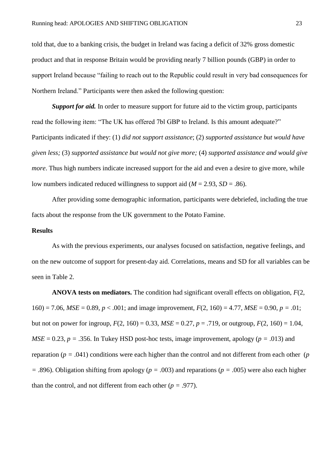told that, due to a banking crisis, the budget in Ireland was facing a deficit of 32% gross domestic product and that in response Britain would be providing nearly 7 billion pounds (GBP) in order to support Ireland because "failing to reach out to the Republic could result in very bad consequences for Northern Ireland." Participants were then asked the following question:

*Support for aid.* In order to measure support for future aid to the victim group, participants read the following item: "The UK has offered 7bl GBP to Ireland. Is this amount adequate?" Participants indicated if they: (1) *did not support assistance*; (2) *supported assistance but would have given less;* (3) *supported assistance but would not give more;* (4) *supported assistance and would give more*. Thus high numbers indicate increased support for the aid and even a desire to give more, while low numbers indicated reduced willingness to support aid  $(M = 2.93, SD = .86)$ .

After providing some demographic information, participants were debriefed, including the true facts about the response from the UK government to the Potato Famine.

## **Results**

As with the previous experiments, our analyses focused on satisfaction, negative feelings, and on the new outcome of support for present-day aid. Correlations, means and SD for all variables can be seen in Table 2.

**ANOVA tests on mediators.** The condition had significant overall effects on obligation, *F*(2, 160) = 7.06,  $MSE = 0.89$ ,  $p < .001$ ; and image improvement,  $F(2, 160) = 4.77$ ,  $MSE = 0.90$ ,  $p = .01$ ; but not on power for ingroup,  $F(2, 160) = 0.33$ ,  $MSE = 0.27$ ,  $p = .719$ , or outgroup,  $F(2, 160) = 1.04$ ,  $MSE = 0.23$ ,  $p = .356$ . In Tukey HSD post-hoc tests, image improvement, apology ( $p = .013$ ) and reparation (*p =* .041) conditions were each higher than the control and not different from each other (*p =* .896). Obligation shifting from apology (*p =* .003) and reparations (*p =* .005) were also each higher than the control, and not different from each other (*p =* .977).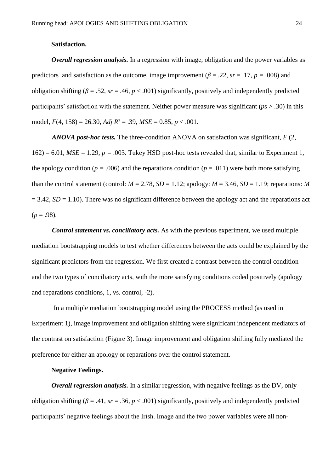## **Satisfaction.**

*Overall regression analysis.* In a regression with image, obligation and the power variables as predictors and satisfaction as the outcome, image improvement ( $\beta$  = .22, *sr* = .17, *p* = .008) and obligation shifting ( $\beta = .52$ ,  $sr = .46$ ,  $p < .001$ ) significantly, positively and independently predicted participants' satisfaction with the statement. Neither power measure was significant (*p*s > .30) in this model,  $F(4, 158) = 26.30$ ,  $Adj R<sup>2</sup> = .39$ ,  $MSE = 0.85$ ,  $p < .001$ .

*ANOVA post-hoc tests.* The three-condition ANOVA on satisfaction was significant, *F* (2,  $162$ ) = 6.01, *MSE* = 1.29, *p* = .003. Tukey HSD post-hoc tests revealed that, similar to Experiment 1, the apology condition ( $p = .006$ ) and the reparations condition ( $p = .011$ ) were both more satisfying than the control statement (control:  $M = 2.78$ ,  $SD = 1.12$ ; apology:  $M = 3.46$ ,  $SD = 1.19$ ; reparations: M  $= 3.42$ , *SD* = 1.10). There was no significant difference between the apology act and the reparations act  $(p=.98)$ .

*Control statement vs. conciliatory acts.* As with the previous experiment, we used multiple mediation bootstrapping models to test whether differences between the acts could be explained by the significant predictors from the regression. We first created a contrast between the control condition and the two types of conciliatory acts, with the more satisfying conditions coded positively (apology and reparations conditions, 1, vs. control, -2).

In a multiple mediation bootstrapping model using the PROCESS method (as used in Experiment 1), image improvement and obligation shifting were significant independent mediators of the contrast on satisfaction (Figure 3). Image improvement and obligation shifting fully mediated the preference for either an apology or reparations over the control statement.

### **Negative Feelings.**

*Overall regression analysis.* In a similar regression, with negative feelings as the DV, only obligation shifting ( $\beta$  = .41, *sr* = .36, *p* < .001) significantly, positively and independently predicted participants' negative feelings about the Irish. Image and the two power variables were all non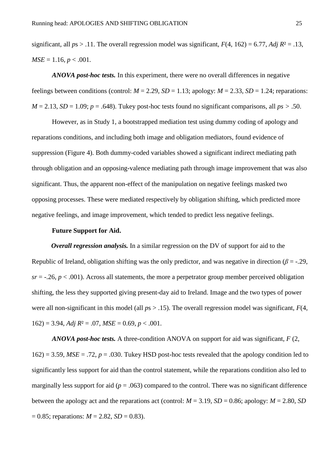significant, all  $ps > 0.11$ . The overall regression model was significant,  $F(4, 162) = 6.77$ , *Adj R*<sup>2</sup> = .13,  $MSE = 1.16$ ,  $p < .001$ .

*ANOVA post-hoc tests.* In this experiment, there were no overall differences in negative feelings between conditions (control:  $M = 2.29$ ,  $SD = 1.13$ ; apology:  $M = 2.33$ ,  $SD = 1.24$ ; reparations:  $M = 2.13$ ,  $SD = 1.09$ ;  $p = .648$ ). Tukey post-hoc tests found no significant comparisons, all  $ps > .50$ .

However, as in Study 1, a bootstrapped mediation test using dummy coding of apology and reparations conditions, and including both image and obligation mediators, found evidence of suppression (Figure 4). Both dummy-coded variables showed a significant indirect mediating path through obligation and an opposing-valence mediating path through image improvement that was also significant. Thus, the apparent non-effect of the manipulation on negative feelings masked two opposing processes. These were mediated respectively by obligation shifting, which predicted more negative feelings, and image improvement, which tended to predict less negative feelings.

## **Future Support for Aid.**

*Overall regression analysis.* In a similar regression on the DV of support for aid to the Republic of Ireland, obligation shifting was the only predictor, and was negative in direction ( $\beta$  = -.29,  $sr = -0.26$ ,  $p < 0.001$ ). Across all statements, the more a perpetrator group member perceived obligation shifting, the less they supported giving present-day aid to Ireland. Image and the two types of power were all non-significant in this model (all *p*s > .15). The overall regression model was significant, *F*(4,  $162$ ) = 3.94, *Adj R*<sup>2</sup> = .07, *MSE* = 0.69, *p* < .001.

*ANOVA post-hoc tests.* A three-condition ANOVA on support for aid was significant, *F* (2,  $162$ ) = 3.59,  $MSE = .72$ ,  $p = .030$ . Tukey HSD post-hoc tests revealed that the apology condition led to significantly less support for aid than the control statement, while the reparations condition also led to marginally less support for aid ( $p = .063$ ) compared to the control. There was no significant difference between the apology act and the reparations act (control:  $M = 3.19$ ,  $SD = 0.86$ ; apology:  $M = 2.80$ , *SD*  $= 0.85$ ; reparations:  $M = 2.82$ ,  $SD = 0.83$ ).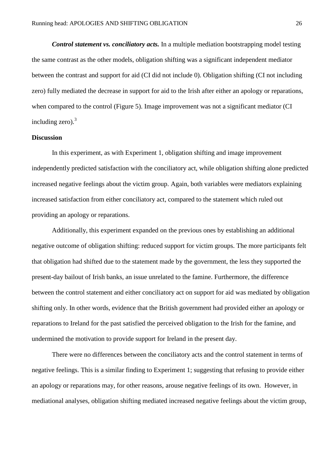*Control statement vs. conciliatory acts.* In a multiple mediation bootstrapping model testing the same contrast as the other models, obligation shifting was a significant independent mediator between the contrast and support for aid (CI did not include 0). Obligation shifting (CI not including zero) fully mediated the decrease in support for aid to the Irish after either an apology or reparations, when compared to the control (Figure 5). Image improvement was not a significant mediator (CI including zero). $3$ 

#### **Discussion**

In this experiment, as with Experiment 1, obligation shifting and image improvement independently predicted satisfaction with the conciliatory act, while obligation shifting alone predicted increased negative feelings about the victim group. Again, both variables were mediators explaining increased satisfaction from either conciliatory act, compared to the statement which ruled out providing an apology or reparations.

Additionally, this experiment expanded on the previous ones by establishing an additional negative outcome of obligation shifting: reduced support for victim groups. The more participants felt that obligation had shifted due to the statement made by the government, the less they supported the present-day bailout of Irish banks, an issue unrelated to the famine. Furthermore, the difference between the control statement and either conciliatory act on support for aid was mediated by obligation shifting only. In other words, evidence that the British government had provided either an apology or reparations to Ireland for the past satisfied the perceived obligation to the Irish for the famine, and undermined the motivation to provide support for Ireland in the present day.

There were no differences between the conciliatory acts and the control statement in terms of negative feelings. This is a similar finding to Experiment 1; suggesting that refusing to provide either an apology or reparations may, for other reasons, arouse negative feelings of its own. However, in mediational analyses, obligation shifting mediated increased negative feelings about the victim group,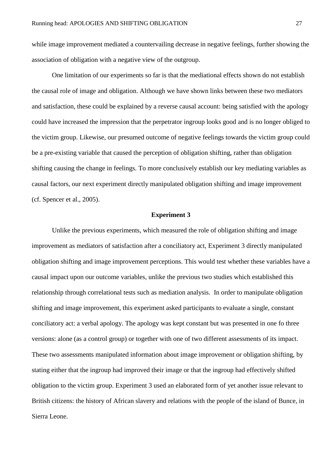while image improvement mediated a countervailing decrease in negative feelings, further showing the association of obligation with a negative view of the outgroup.

One limitation of our experiments so far is that the mediational effects shown do not establish the causal role of image and obligation. Although we have shown links between these two mediators and satisfaction, these could be explained by a reverse causal account: being satisfied with the apology could have increased the impression that the perpetrator ingroup looks good and is no longer obliged to the victim group. Likewise, our presumed outcome of negative feelings towards the victim group could be a pre-existing variable that caused the perception of obligation shifting, rather than obligation shifting causing the change in feelings. To more conclusively establish our key mediating variables as causal factors, our next experiment directly manipulated obligation shifting and image improvement (cf. Spencer et al., 2005).

### **Experiment 3**

Unlike the previous experiments, which measured the role of obligation shifting and image improvement as mediators of satisfaction after a conciliatory act, Experiment 3 directly manipulated obligation shifting and image improvement perceptions. This would test whether these variables have a causal impact upon our outcome variables, unlike the previous two studies which established this relationship through correlational tests such as mediation analysis. In order to manipulate obligation shifting and image improvement, this experiment asked participants to evaluate a single, constant conciliatory act: a verbal apology. The apology was kept constant but was presented in one fo three versions: alone (as a control group) or together with one of two different assessments of its impact. These two assessments manipulated information about image improvement or obligation shifting, by stating either that the ingroup had improved their image or that the ingroup had effectively shifted obligation to the victim group. Experiment 3 used an elaborated form of yet another issue relevant to British citizens: the history of African slavery and relations with the people of the island of Bunce, in Sierra Leone.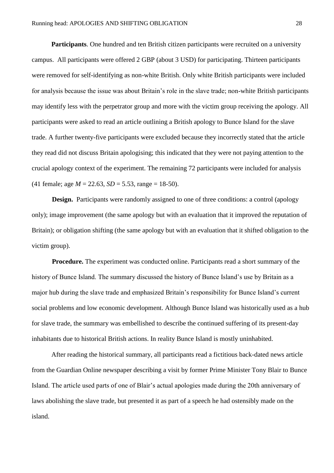**Participants**. One hundred and ten British citizen participants were recruited on a university campus. All participants were offered 2 GBP (about 3 USD) for participating. Thirteen participants were removed for self-identifying as non-white British. Only white British participants were included for analysis because the issue was about Britain's role in the slave trade; non-white British participants may identify less with the perpetrator group and more with the victim group receiving the apology. All participants were asked to read an article outlining a British apology to Bunce Island for the slave trade. A further twenty-five participants were excluded because they incorrectly stated that the article they read did not discuss Britain apologising; this indicated that they were not paying attention to the crucial apology context of the experiment. The remaining 72 participants were included for analysis (41 female; age  $M = 22.63$ ,  $SD = 5.53$ , range = 18-50).

**Design.** Participants were randomly assigned to one of three conditions: a control (apology only); image improvement (the same apology but with an evaluation that it improved the reputation of Britain); or obligation shifting (the same apology but with an evaluation that it shifted obligation to the victim group).

**Procedure.** The experiment was conducted online. Participants read a short summary of the history of Bunce Island. The summary discussed the history of Bunce Island's use by Britain as a major hub during the slave trade and emphasized Britain's responsibility for Bunce Island's current social problems and low economic development. Although Bunce Island was historically used as a hub for slave trade, the summary was embellished to describe the continued suffering of its present-day inhabitants due to historical British actions. In reality Bunce Island is mostly uninhabited.

After reading the historical summary, all participants read a fictitious back-dated news article from the Guardian Online newspaper describing a visit by former Prime Minister Tony Blair to Bunce Island. The article used parts of one of Blair's actual apologies made during the 20th anniversary of laws abolishing the slave trade, but presented it as part of a speech he had ostensibly made on the island.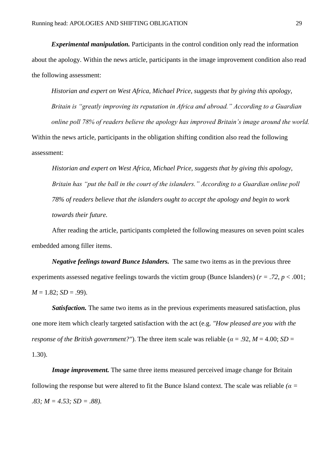*Experimental manipulation.* Participants in the control condition only read the information about the apology. Within the news article, participants in the image improvement condition also read the following assessment:

*Historian and expert on West Africa, Michael Price, suggests that by giving this apology, Britain is "greatly improving its reputation in Africa and abroad." According to a Guardian online poll 78% of readers believe the apology has improved Britain's image around the world.* Within the news article, participants in the obligation shifting condition also read the following assessment:

*Historian and expert on West Africa, Michael Price, suggests that by giving this apology, Britain has "put the ball in the court of the islanders." According to a Guardian online poll 78% of readers believe that the islanders ought to accept the apology and begin to work towards their future.*

After reading the article, participants completed the following measures on seven point scales embedded among filler items.

*Negative feelings toward Bunce Islanders.* The same two items as in the previous three experiments assessed negative feelings towards the victim group (Bunce Islanders) (*r = .72*, *p* < .001;  $M = 1.82$ ; *SD* = .99).

*Satisfaction*. The same two items as in the previous experiments measured satisfaction, plus one more item which clearly targeted satisfaction with the act (e.g. *"How pleased are you with the response of the British government?"*). The three item scale was reliable ( $\alpha = .92$ ,  $M = 4.00$ ; *SD* = 1.30).

*Image improvement*. The same three items measured perceived image change for Britain following the response but were altered to fit the Bunce Island context. The scale was reliable  $(a =$ *.83; M = 4.53; SD = .88).*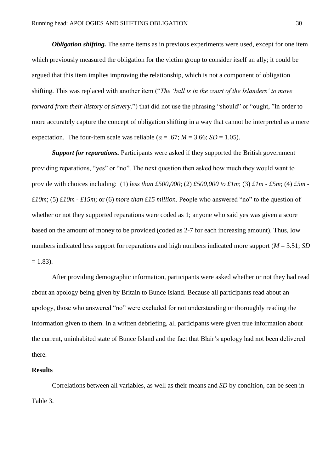*Obligation shifting.* The same items as in previous experiments were used, except for one item which previously measured the obligation for the victim group to consider itself an ally; it could be argued that this item implies improving the relationship, which is not a component of obligation shifting. This was replaced with another item ("*The 'ball is in the court of the Islanders' to move forward from their history of slavery*.") that did not use the phrasing "should" or "ought, "in order to more accurately capture the concept of obligation shifting in a way that cannot be interpreted as a mere expectation. The four-item scale was reliable ( $\alpha = .67$ ;  $M = 3.66$ ;  $SD = 1.05$ ).

*Support for reparations.* Participants were asked if they supported the British government providing reparations, "yes" or "no". The next question then asked how much they would want to provide with choices including: (1) *less than £500,000*; (2) *£500,000 to £1m*; (3) *£1m - £5m*; (4) *£5m - £10m*; (5) *£10m - £15m*; or (6) *more than £15 million*. People who answered "no" to the question of whether or not they supported reparations were coded as 1; anyone who said yes was given a score based on the amount of money to be provided (coded as 2-7 for each increasing amount). Thus, low numbers indicated less support for reparations and high numbers indicated more support (*M* = 3.51; *SD*  $= 1.83$ ).

After providing demographic information, participants were asked whether or not they had read about an apology being given by Britain to Bunce Island. Because all participants read about an apology, those who answered "no" were excluded for not understanding or thoroughly reading the information given to them. In a written debriefing, all participants were given true information about the current, uninhabited state of Bunce Island and the fact that Blair's apology had not been delivered there.

#### **Results**

Correlations between all variables, as well as their means and *SD* by condition, can be seen in Table 3.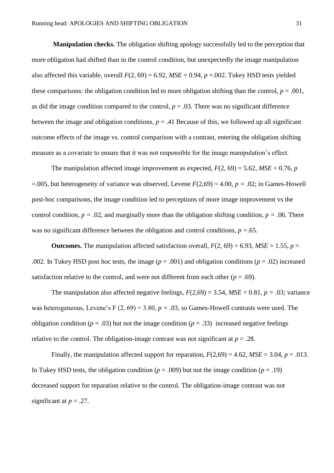**Manipulation checks.** The obligation shifting apology successfully led to the perception that more obligation had shifted than in the control condition, but unexpectedly the image manipulation also affected this variable, overall  $F(2, 69) = 6.92$ ,  $MSE = 0.94$ ,  $p = .002$ . Tukey HSD tests yielded these comparisons: the obligation condition led to more obligation shifting than the control,  $p = .001$ , as did the image condition compared to the control,  $p = .03$ . There was no significant difference between the image and obligation conditions,  $p = .41$  Because of this, we followed up all significant outcome effects of the image vs. control comparison with a contrast, entering the obligation shifting measure as a covariate to ensure that it was not responsible for the image manipulation's effect.

The manipulation affected image improvement as expected,  $F(2, 69) = 5.62$ ,  $MSE = 0.76$ , *p* =.005, but heterogeneity of variance was observed, Levene *F*(2,69) = 4.00, *p =* .02; in Games-Howell post-hoc comparisons, the image condition led to perceptions of more image improvement vs the control condition,  $p = 0.02$ , and marginally more than the obligation shifting condition,  $p = 0.06$ . There was no significant difference between the obligation and control conditions, *p =*.65.

**Outcomes.** The manipulation affected satisfaction overall,  $F(2, 69) = 6.93$ ,  $MSE = 1.55$ ,  $p =$ .002. In Tukey HSD post hoc tests, the image ( $p = .001$ ) and obligation conditions ( $p = .02$ ) increased satisfaction relative to the control, and were not different from each other  $(p = .69)$ .

The manipulation also affected negative feelings,  $F(2,69) = 3.54$ ,  $MSE = 0.81$ ,  $p = .03$ ; variance was heterogeneous, Levene's F (2, 69) = 3.80, *p =* .03, so Games-Howell contrasts were used. The obligation condition ( $p = .03$ ) but not the image condition ( $p = .33$ ) increased negative feelings relative to the control. The obligation-image contrast was not significant at  $p = .28$ .

Finally, the manipulation affected support for reparation,  $F(2,69) = 4.62$ ,  $MSE = 3.04$ ,  $p = .013$ . In Tukey HSD tests, the obligation condition ( $p = .009$ ) but not the image condition ( $p = .19$ ) decreased support for reparation relative to the control. The obligation-image contrast was not significant at  $p = .27$ .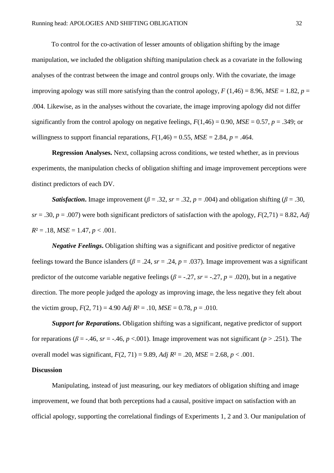To control for the co-activation of lesser amounts of obligation shifting by the image manipulation, we included the obligation shifting manipulation check as a covariate in the following analyses of the contrast between the image and control groups only. With the covariate, the image improving apology was still more satisfying than the control apology,  $F(1,46) = 8.96$ ,  $MSE = 1.82$ ,  $p =$ .004. Likewise, as in the analyses without the covariate, the image improving apology did not differ significantly from the control apology on negative feelings,  $F(1,46) = 0.90$ ,  $MSE = 0.57$ ,  $p = .349$ ; or willingness to support financial reparations,  $F(1,46) = 0.55$ ,  $MSE = 2.84$ ,  $p = .464$ .

**Regression Analyses.** Next, collapsing across conditions, we tested whether, as in previous experiments, the manipulation checks of obligation shifting and image improvement perceptions were distinct predictors of each DV.

*Satisfaction*. Image improvement ( $\beta = .32$ ,  $sr = .32$ ,  $p = .004$ ) and obligation shifting ( $\beta = .30$ ,  $sr = .30$ ,  $p = .007$ ) were both significant predictors of satisfaction with the apology,  $F(2,71) = 8.82$ , *Adj*  $R^2 = .18$ ,  $MSE = 1.47$ ,  $p < .001$ .

*Negative Feelings***.** Obligation shifting was a significant and positive predictor of negative feelings toward the Bunce islanders ( $\beta = .24$ ,  $sr = .24$ ,  $p = .037$ ). Image improvement was a significant predictor of the outcome variable negative feelings ( $\beta = -0.27$ ,  $sr = -0.27$ ,  $p = 0.020$ ), but in a negative direction. The more people judged the apology as improving image, the less negative they felt about the victim group,  $F(2, 71) = 4.90$  *Adj*  $R<sup>2</sup> = .10$ ,  $MSE = 0.78$ ,  $p = .010$ .

*Support for Reparations*. Obligation shifting was a significant, negative predictor of support for reparations ( $\beta$  = -.46,  $sr$  = -.46,  $p$  <.001). Image improvement was not significant ( $p > .251$ ). The overall model was significant,  $F(2, 71) = 9.89$ , *Adj*  $R<sup>2</sup> = .20$ ,  $MSE = 2.68$ ,  $p < .001$ .

#### **Discussion**

Manipulating, instead of just measuring, our key mediators of obligation shifting and image improvement, we found that both perceptions had a causal, positive impact on satisfaction with an official apology, supporting the correlational findings of Experiments 1, 2 and 3. Our manipulation of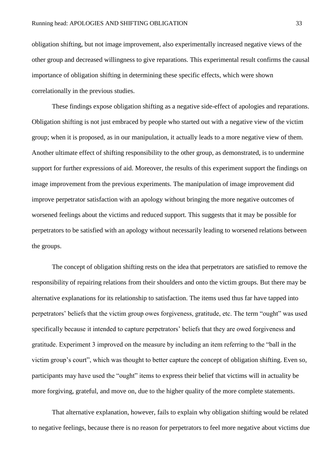obligation shifting, but not image improvement, also experimentally increased negative views of the other group and decreased willingness to give reparations. This experimental result confirms the causal importance of obligation shifting in determining these specific effects, which were shown correlationally in the previous studies.

These findings expose obligation shifting as a negative side-effect of apologies and reparations. Obligation shifting is not just embraced by people who started out with a negative view of the victim group; when it is proposed, as in our manipulation, it actually leads to a more negative view of them. Another ultimate effect of shifting responsibility to the other group, as demonstrated, is to undermine support for further expressions of aid. Moreover, the results of this experiment support the findings on image improvement from the previous experiments. The manipulation of image improvement did improve perpetrator satisfaction with an apology without bringing the more negative outcomes of worsened feelings about the victims and reduced support. This suggests that it may be possible for perpetrators to be satisfied with an apology without necessarily leading to worsened relations between the groups.

The concept of obligation shifting rests on the idea that perpetrators are satisfied to remove the responsibility of repairing relations from their shoulders and onto the victim groups. But there may be alternative explanations for its relationship to satisfaction. The items used thus far have tapped into perpetrators' beliefs that the victim group owes forgiveness, gratitude, etc. The term "ought" was used specifically because it intended to capture perpetrators' beliefs that they are owed forgiveness and gratitude. Experiment 3 improved on the measure by including an item referring to the "ball in the victim group's court", which was thought to better capture the concept of obligation shifting. Even so, participants may have used the "ought" items to express their belief that victims will in actuality be more forgiving, grateful, and move on, due to the higher quality of the more complete statements.

That alternative explanation, however, fails to explain why obligation shifting would be related to negative feelings, because there is no reason for perpetrators to feel more negative about victims due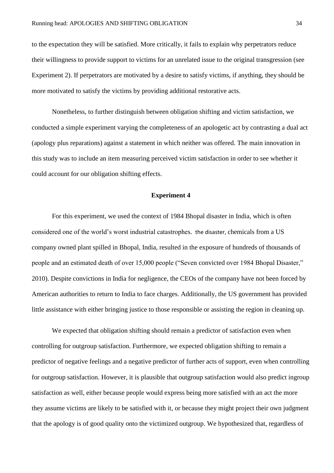to the expectation they will be satisfied. More critically, it fails to explain why perpetrators reduce their willingness to provide support to victims for an unrelated issue to the original transgression (see Experiment 2). If perpetrators are motivated by a desire to satisfy victims, if anything, they should be more motivated to satisfy the victims by providing additional restorative acts.

Nonetheless, to further distinguish between obligation shifting and victim satisfaction, we conducted a simple experiment varying the completeness of an apologetic act by contrasting a dual act (apology plus reparations) against a statement in which neither was offered. The main innovation in this study was to include an item measuring perceived victim satisfaction in order to see whether it could account for our obligation shifting effects.

## **Experiment 4**

For this experiment, we used the context of 1984 Bhopal disaster in India, which is often considered one of the world's worst industrial catastrophes. the disaster, chemicals from a US company owned plant spilled in Bhopal, India, resulted in the exposure of hundreds of thousands of people and an estimated death of over 15,000 people ("Seven convicted over 1984 Bhopal Disaster," 2010). Despite convictions in India for negligence, the CEOs of the company have not been forced by American authorities to return to India to face charges. Additionally, the US government has provided little assistance with either bringing justice to those responsible or assisting the region in cleaning up.

We expected that obligation shifting should remain a predictor of satisfaction even when controlling for outgroup satisfaction. Furthermore, we expected obligation shifting to remain a predictor of negative feelings and a negative predictor of further acts of support, even when controlling for outgroup satisfaction. However, it is plausible that outgroup satisfaction would also predict ingroup satisfaction as well, either because people would express being more satisfied with an act the more they assume victims are likely to be satisfied with it, or because they might project their own judgment that the apology is of good quality onto the victimized outgroup. We hypothesized that, regardless of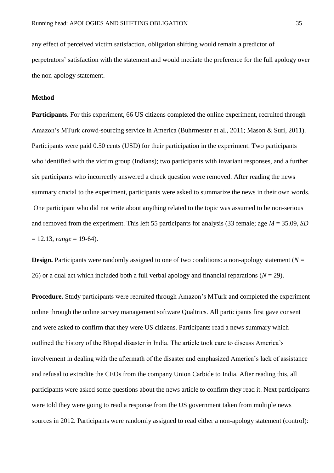any effect of perceived victim satisfaction, obligation shifting would remain a predictor of perpetrators' satisfaction with the statement and would mediate the preference for the full apology over the non-apology statement.

### **Method**

**Participants.** For this experiment, 66 US citizens completed the online experiment, recruited through Amazon's MTurk crowd-sourcing service in America (Buhrmester et al., 2011; Mason & Suri, 2011). Participants were paid 0.50 cents (USD) for their participation in the experiment. Two participants who identified with the victim group (Indians); two participants with invariant responses, and a further six participants who incorrectly answered a check question were removed. After reading the news summary crucial to the experiment, participants were asked to summarize the news in their own words. One participant who did not write about anything related to the topic was assumed to be non-serious and removed from the experiment. This left 55 participants for analysis (33 female; age *M* = 35.09, *SD*   $= 12.13$ , *range* = 19-64).

**Design.** Participants were randomly assigned to one of two conditions: a non-apology statement (*N* = 26) or a dual act which included both a full verbal apology and financial reparations  $(N = 29)$ .

**Procedure.** Study participants were recruited through Amazon's MTurk and completed the experiment online through the online survey management software Qualtrics. All participants first gave consent and were asked to confirm that they were US citizens. Participants read a news summary which outlined the history of the Bhopal disaster in India. The article took care to discuss America's involvement in dealing with the aftermath of the disaster and emphasized America's lack of assistance and refusal to extradite the CEOs from the company Union Carbide to India. After reading this, all participants were asked some questions about the news article to confirm they read it. Next participants were told they were going to read a response from the US government taken from multiple news sources in 2012. Participants were randomly assigned to read either a non-apology statement (control):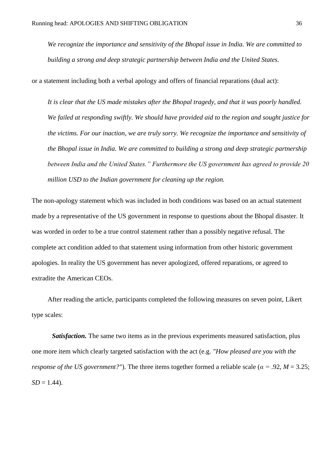*We recognize the importance and sensitivity of the Bhopal issue in India. We are committed to building a strong and deep strategic partnership between India and the United States.*

or a statement including both a verbal apology and offers of financial reparations (dual act):

*It is clear that the US made mistakes after the Bhopal tragedy, and that it was poorly handled. We failed at responding swiftly. We should have provided aid to the region and sought justice for the victims. For our inaction, we are truly sorry. We recognize the importance and sensitivity of the Bhopal issue in India. We are committed to building a strong and deep strategic partnership between India and the United States." Furthermore the US government has agreed to provide 20 million USD to the Indian government for cleaning up the region.*

The non-apology statement which was included in both conditions was based on an actual statement made by a representative of the US government in response to questions about the Bhopal disaster. It was worded in order to be a true control statement rather than a possibly negative refusal. The complete act condition added to that statement using information from other historic government apologies. In reality the US government has never apologized, offered reparations, or agreed to extradite the American CEOs.

After reading the article, participants completed the following measures on seven point, Likert type scales:

*Satisfaction.* The same two items as in the previous experiments measured satisfaction, plus one more item which clearly targeted satisfaction with the act (e.g. *"How pleased are you with the response of the US government?"*). The three items together formed a reliable scale ( $\alpha = .92$ ,  $M = 3.25$ ;  $SD = 1.44$ .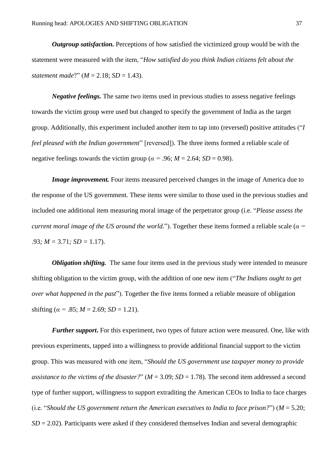*Outgroup satisfaction.* Perceptions of how satisfied the victimized group would be with the statement were measured with the item, "*How satisfied do you think Indian citizens felt about the statement made*?" (*M* = 2.18; *SD* = 1.43).

*Negative feelings*. The same two items used in previous studies to assess negative feelings towards the victim group were used but changed to specify the government of India as the target group. Additionally, this experiment included another item to tap into (reversed) positive attitudes ("*I feel pleased with the Indian government*" [reversed])*.* The three items formed a reliable scale of negative feelings towards the victim group ( $\alpha$  = .96;  $M = 2.64$ ; *SD* = 0.98).

*Image improvement.* Four items measured perceived changes in the image of America due to the response of the US government. These items were similar to those used in the previous studies and included one additional item measuring moral image of the perpetrator group (i.e. "*Please assess the current moral image of the US around the world.*"). Together these items formed a reliable scale (*α =*  .93*; M =* 3.71*; SD =* 1.17).

*Obligation shifting.* The same four items used in the previous study were intended to measure shifting obligation to the victim group, with the addition of one new item ("*The Indians ought to get over what happened in the past*"). Together the five items formed a reliable measure of obligation shifting ( $\alpha$  = .85;  $M = 2.69$ ;  $SD = 1.21$ ).

*Further support***.** For this experiment, two types of future action were measured. One, like with previous experiments, tapped into a willingness to provide additional financial support to the victim group. This was measured with one item, "*Should the US government use taxpayer money to provide assistance to the victims of the disaster?*" (*M* = 3.09; *SD* = 1.78). The second item addressed a second type of further support, willingness to support extraditing the American CEOs to India to face charges (i.e. "*Should the US government return the American executives to India to face prison?*") (*M* = 5.20;  $SD = 2.02$ ). Participants were asked if they considered themselves Indian and several demographic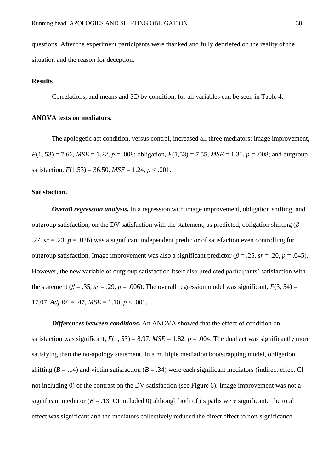questions. After the experiment participants were thanked and fully debriefed on the reality of the situation and the reason for deception.

## **Results**

Correlations, and means and SD by condition, for all variables can be seen in Table 4.

## **ANOVA tests on mediators.**

The apologetic act condition, versus control, increased all three mediators: image improvement,  $F(1, 53) = 7.66$ ,  $MSE = 1.22$ ,  $p = .008$ ; obligation,  $F(1,53) = 7.55$ ,  $MSE = 1.31$ ,  $p = .008$ ; and outgroup satisfaction,  $F(1.53) = 36.50$ ,  $MSE = 1.24$ ,  $p < .001$ .

## **Satisfaction.**

*Overall regression analysis.* In a regression with image improvement, obligation shifting, and outgroup satisfaction, on the DV satisfaction with the statement, as predicted, obligation shifting  $(\beta =$ .27,  $sr = 0.23$ ,  $p = 0.026$ ) was a significant independent predictor of satisfaction even controlling for outgroup satisfaction. Image improvement was also a significant predictor ( $\beta$  = .25, *sr* = .20, *p* = .045). However, the new variable of outgroup satisfaction itself also predicted participants' satisfaction with the statement ( $\beta = .35$ ,  $sr = .29$ ,  $p = .006$ ). The overall regression model was significant,  $F(3, 54) =$ 17.07,  $Adj.R^2 = .47$ ,  $MSE = 1.10$ ,  $p < .001$ .

*Differences between conditions.* An ANOVA showed that the effect of condition on satisfaction was significant,  $F(1, 53) = 8.97$ ,  $MSE = 1.82$ ,  $p = .004$ . The dual act was significantly more satisfying than the no-apology statement. In a multiple mediation bootstrapping model, obligation shifting  $(B = .14)$  and victim satisfaction  $(B = .34)$  were each significant mediators (indirect effect CI not including 0) of the contrast on the DV satisfaction (see Figure 6). Image improvement was not a significant mediator  $(B = .13, \text{CI}$  included 0) although both of its paths were significant. The total effect was significant and the mediators collectively reduced the direct effect to non-significance.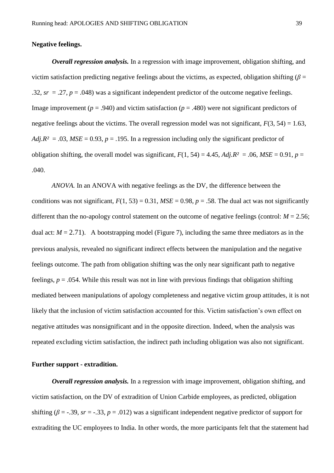#### **Negative feelings.**

*Overall regression analysis.* In a regression with image improvement, obligation shifting, and victim satisfaction predicting negative feelings about the victims, as expected, obligation shifting (*β* = .32,  $sr = .27$ ,  $p = .048$ ) was a significant independent predictor of the outcome negative feelings. Image improvement ( $p = .940$ ) and victim satisfaction ( $p = .480$ ) were not significant predictors of negative feelings about the victims. The overall regression model was not significant,  $F(3, 54) = 1.63$ , *Adj.R<sup>2</sup>* = .03, *MSE* = 0.93, *p* = .195. In a regression including only the significant predictor of obligation shifting, the overall model was significant,  $F(1, 54) = 4.45$ ,  $Adj.R^2 = .06$ ,  $MSE = 0.91$ ,  $p =$ .040.

*ANOVA.* In an ANOVA with negative feelings as the DV, the difference between the conditions was not significant,  $F(1, 53) = 0.31$ ,  $MSE = 0.98$ ,  $p = .58$ . The dual act was not significantly different than the no-apology control statement on the outcome of negative feelings (control:  $M = 2.56$ ; dual act:  $M = 2.71$ ). A bootstrapping model (Figure 7), including the same three mediators as in the previous analysis, revealed no significant indirect effects between the manipulation and the negative feelings outcome. The path from obligation shifting was the only near significant path to negative feelings,  $p = 0.054$ . While this result was not in line with previous findings that obligation shifting mediated between manipulations of apology completeness and negative victim group attitudes, it is not likely that the inclusion of victim satisfaction accounted for this. Victim satisfaction's own effect on negative attitudes was nonsignificant and in the opposite direction. Indeed, when the analysis was repeated excluding victim satisfaction, the indirect path including obligation was also not significant.

#### **Further support - extradition.**

*Overall regression analysis.* In a regression with image improvement, obligation shifting, and victim satisfaction, on the DV of extradition of Union Carbide employees, as predicted, obligation shifting ( $\beta$  = -.39, *sr* = -.33, *p* = .012) was a significant independent negative predictor of support for extraditing the UC employees to India. In other words, the more participants felt that the statement had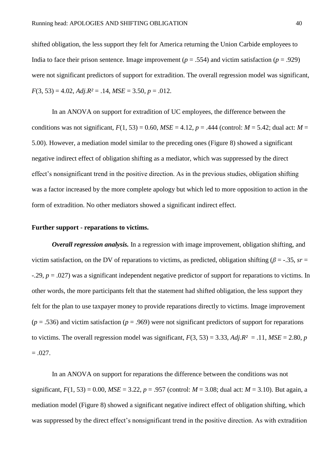shifted obligation, the less support they felt for America returning the Union Carbide employees to India to face their prison sentence. Image improvement ( $p = .554$ ) and victim satisfaction ( $p = .929$ ) were not significant predictors of support for extradition. The overall regression model was significant,  $F(3, 53) = 4.02$ ,  $Adj. R^2 = .14$ ,  $MSE = 3.50$ ,  $p = .012$ .

In an ANOVA on support for extradition of UC employees, the difference between the conditions was not significant,  $F(1, 53) = 0.60$ ,  $MSE = 4.12$ ,  $p = .444$  (control:  $M = 5.42$ ; dual act:  $M =$ 5.00). However, a mediation model similar to the preceding ones (Figure 8) showed a significant negative indirect effect of obligation shifting as a mediator, which was suppressed by the direct effect's nonsignificant trend in the positive direction. As in the previous studies, obligation shifting was a factor increased by the more complete apology but which led to more opposition to action in the form of extradition. No other mediators showed a significant indirect effect.

#### **Further support - reparations to victims.**

*Overall regression analysis.* In a regression with image improvement, obligation shifting, and victim satisfaction, on the DV of reparations to victims, as predicted, obligation shifting ( $\beta$  = -.35, *sr* = -.29, *p* = .027) was a significant independent negative predictor of support for reparations to victims. In other words, the more participants felt that the statement had shifted obligation, the less support they felt for the plan to use taxpayer money to provide reparations directly to victims. Image improvement  $(p = .536)$  and victim satisfaction  $(p = .969)$  were not significant predictors of support for reparations to victims. The overall regression model was significant,  $F(3, 53) = 3.33$ ,  $Adj. R^2 = .11$ ,  $MSE = 2.80$ , *p*  $=.027.$ 

In an ANOVA on support for reparations the difference between the conditions was not significant,  $F(1, 53) = 0.00$ ,  $MSE = 3.22$ ,  $p = .957$  (control:  $M = 3.08$ ; dual act:  $M = 3.10$ ). But again, a mediation model (Figure 8) showed a significant negative indirect effect of obligation shifting, which was suppressed by the direct effect's nonsignificant trend in the positive direction. As with extradition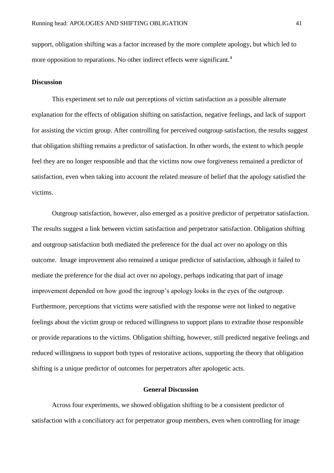support, obligation shifting was a factor increased by the more complete apology, but which led to more opposition to reparations. No other indirect effects were significant.<sup>4</sup>

#### **Discussion**

This experiment set to rule out perceptions of victim satisfaction as a possible alternate explanation for the effects of obligation shifting on satisfaction, negative feelings, and lack of support for assisting the victim group. After controlling for perceived outgroup satisfaction, the results suggest that obligation shifting remains a predictor of satisfaction. In other words, the extent to which people feel they are no longer responsible and that the victims now owe forgiveness remained a predictor of satisfaction, even when taking into account the related measure of belief that the apology satisfied the victims.

Outgroup satisfaction, however, also emerged as a positive predictor of perpetrator satisfaction. The results suggest a link between victim satisfaction and perpetrator satisfaction. Obligation shifting and outgroup satisfaction both mediated the preference for the dual act over no apology on this outcome. Image improvement also remained a unique predictor of satisfaction, although it failed to mediate the preference for the dual act over no apology, perhaps indicating that part of image improvement depended on how good the ingroup's apology looks in the eyes of the outgroup. Furthermore, perceptions that victims were satisfied with the response were not linked to negative feelings about the victim group or reduced willingness to support plans to extradite those responsible or provide reparations to the victims. Obligation shifting, however, still predicted negative feelings and reduced willingness to support both types of restorative actions, supporting the theory that obligation shifting is a unique predictor of outcomes for perpetrators after apologetic acts.

## **General Discussion**

Across four experiments, we showed obligation shifting to be a consistent predictor of satisfaction with a conciliatory act for perpetrator group members, even when controlling for image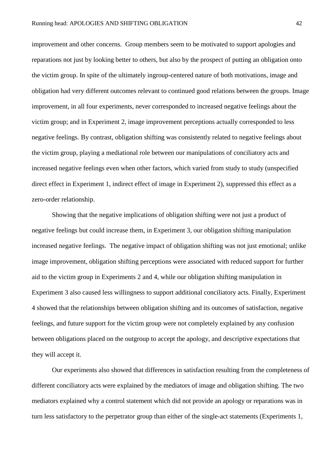improvement and other concerns. Group members seem to be motivated to support apologies and reparations not just by looking better to others, but also by the prospect of putting an obligation onto the victim group. In spite of the ultimately ingroup-centered nature of both motivations, image and obligation had very different outcomes relevant to continued good relations between the groups. Image improvement, in all four experiments, never corresponded to increased negative feelings about the victim group; and in Experiment 2, image improvement perceptions actually corresponded to less negative feelings. By contrast, obligation shifting was consistently related to negative feelings about the victim group, playing a mediational role between our manipulations of conciliatory acts and increased negative feelings even when other factors, which varied from study to study (unspecified direct effect in Experiment 1, indirect effect of image in Experiment 2), suppressed this effect as a zero-order relationship.

Showing that the negative implications of obligation shifting were not just a product of negative feelings but could increase them, in Experiment 3, our obligation shifting manipulation increased negative feelings. The negative impact of obligation shifting was not just emotional; unlike image improvement, obligation shifting perceptions were associated with reduced support for further aid to the victim group in Experiments 2 and 4, while our obligation shifting manipulation in Experiment 3 also caused less willingness to support additional conciliatory acts. Finally, Experiment 4 showed that the relationships between obligation shifting and its outcomes of satisfaction, negative feelings, and future support for the victim group were not completely explained by any confusion between obligations placed on the outgroup to accept the apology, and descriptive expectations that they will accept it.

Our experiments also showed that differences in satisfaction resulting from the completeness of different conciliatory acts were explained by the mediators of image and obligation shifting. The two mediators explained why a control statement which did not provide an apology or reparations was in turn less satisfactory to the perpetrator group than either of the single-act statements (Experiments 1,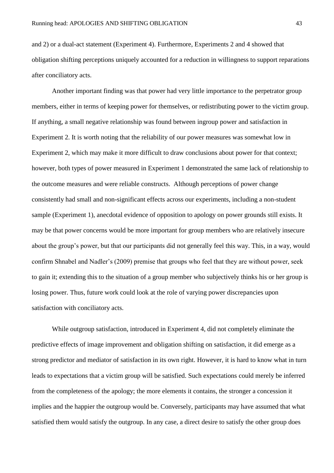and 2) or a dual-act statement (Experiment 4). Furthermore, Experiments 2 and 4 showed that obligation shifting perceptions uniquely accounted for a reduction in willingness to support reparations after conciliatory acts.

Another important finding was that power had very little importance to the perpetrator group members, either in terms of keeping power for themselves, or redistributing power to the victim group. If anything, a small negative relationship was found between ingroup power and satisfaction in Experiment 2. It is worth noting that the reliability of our power measures was somewhat low in Experiment 2, which may make it more difficult to draw conclusions about power for that context; however, both types of power measured in Experiment 1 demonstrated the same lack of relationship to the outcome measures and were reliable constructs. Although perceptions of power change consistently had small and non-significant effects across our experiments, including a non-student sample (Experiment 1), anecdotal evidence of opposition to apology on power grounds still exists. It may be that power concerns would be more important for group members who are relatively insecure about the group's power, but that our participants did not generally feel this way. This, in a way, would confirm Shnabel and Nadler's (2009) premise that groups who feel that they are without power, seek to gain it; extending this to the situation of a group member who subjectively thinks his or her group is losing power. Thus, future work could look at the role of varying power discrepancies upon satisfaction with conciliatory acts.

While outgroup satisfaction, introduced in Experiment 4, did not completely eliminate the predictive effects of image improvement and obligation shifting on satisfaction, it did emerge as a strong predictor and mediator of satisfaction in its own right. However, it is hard to know what in turn leads to expectations that a victim group will be satisfied. Such expectations could merely be inferred from the completeness of the apology; the more elements it contains, the stronger a concession it implies and the happier the outgroup would be. Conversely, participants may have assumed that what satisfied them would satisfy the outgroup. In any case, a direct desire to satisfy the other group does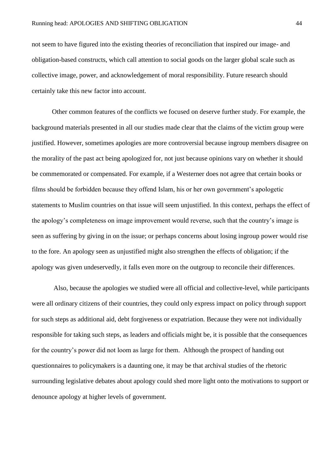not seem to have figured into the existing theories of reconciliation that inspired our image- and obligation-based constructs, which call attention to social goods on the larger global scale such as collective image, power, and acknowledgement of moral responsibility. Future research should certainly take this new factor into account.

Other common features of the conflicts we focused on deserve further study. For example, the background materials presented in all our studies made clear that the claims of the victim group were justified. However, sometimes apologies are more controversial because ingroup members disagree on the morality of the past act being apologized for, not just because opinions vary on whether it should be commemorated or compensated. For example, if a Westerner does not agree that certain books or films should be forbidden because they offend Islam, his or her own government's apologetic statements to Muslim countries on that issue will seem unjustified. In this context, perhaps the effect of the apology's completeness on image improvement would reverse, such that the country's image is seen as suffering by giving in on the issue; or perhaps concerns about losing ingroup power would rise to the fore. An apology seen as unjustified might also strengthen the effects of obligation; if the apology was given undeservedly, it falls even more on the outgroup to reconcile their differences.

Also, because the apologies we studied were all official and collective-level, while participants were all ordinary citizens of their countries, they could only express impact on policy through support for such steps as additional aid, debt forgiveness or expatriation. Because they were not individually responsible for taking such steps, as leaders and officials might be, it is possible that the consequences for the country's power did not loom as large for them. Although the prospect of handing out questionnaires to policymakers is a daunting one, it may be that archival studies of the rhetoric surrounding legislative debates about apology could shed more light onto the motivations to support or denounce apology at higher levels of government.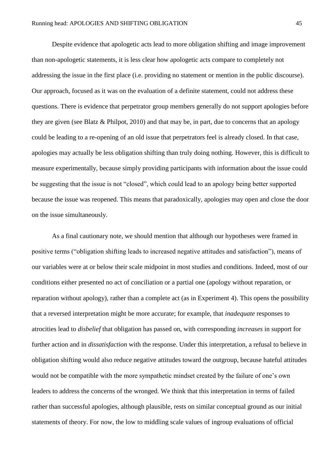Despite evidence that apologetic acts lead to more obligation shifting and image improvement than non-apologetic statements, it is less clear how apologetic acts compare to completely not addressing the issue in the first place (i.e. providing no statement or mention in the public discourse). Our approach, focused as it was on the evaluation of a definite statement, could not address these questions. There is evidence that perpetrator group members generally do not support apologies before they are given (see Blatz & Philpot, 2010) and that may be, in part, due to concerns that an apology could be leading to a re-opening of an old issue that perpetrators feel is already closed. In that case, apologies may actually be less obligation shifting than truly doing nothing. However, this is difficult to measure experimentally, because simply providing participants with information about the issue could be suggesting that the issue is not "closed", which could lead to an apology being better supported because the issue was reopened. This means that paradoxically, apologies may open and close the door on the issue simultaneously.

As a final cautionary note, we should mention that although our hypotheses were framed in positive terms ("obligation shifting leads to increased negative attitudes and satisfaction"), means of our variables were at or below their scale midpoint in most studies and conditions. Indeed, most of our conditions either presented no act of conciliation or a partial one (apology without reparation, or reparation without apology), rather than a complete act (as in Experiment 4). This opens the possibility that a reversed interpretation might be more accurate; for example, that *inadequate* responses to atrocities lead to *disbelief* that obligation has passed on, with corresponding *increases* in support for further action and in *dissatisfaction* with the response. Under this interpretation, a refusal to believe in obligation shifting would also reduce negative attitudes toward the outgroup, because hateful attitudes would not be compatible with the more sympathetic mindset created by the failure of one's own leaders to address the concerns of the wronged. We think that this interpretation in terms of failed rather than successful apologies, although plausible, rests on similar conceptual ground as our initial statements of theory. For now, the low to middling scale values of ingroup evaluations of official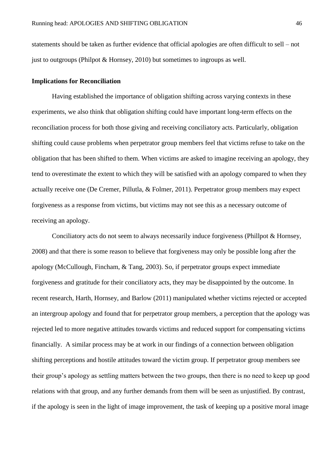statements should be taken as further evidence that official apologies are often difficult to sell – not just to outgroups (Philpot & Hornsey, 2010) but sometimes to ingroups as well.

#### **Implications for Reconciliation**

Having established the importance of obligation shifting across varying contexts in these experiments, we also think that obligation shifting could have important long-term effects on the reconciliation process for both those giving and receiving conciliatory acts. Particularly, obligation shifting could cause problems when perpetrator group members feel that victims refuse to take on the obligation that has been shifted to them. When victims are asked to imagine receiving an apology, they tend to overestimate the extent to which they will be satisfied with an apology compared to when they actually receive one (De Cremer, Pillutla, & Folmer, 2011). Perpetrator group members may expect forgiveness as a response from victims, but victims may not see this as a necessary outcome of receiving an apology.

Conciliatory acts do not seem to always necessarily induce forgiveness (Phillpot & Hornsey, 2008) and that there is some reason to believe that forgiveness may only be possible long after the apology (McCullough, Fincham, & Tang, 2003). So, if perpetrator groups expect immediate forgiveness and gratitude for their conciliatory acts, they may be disappointed by the outcome. In recent research, Harth, Hornsey, and Barlow (2011) manipulated whether victims rejected or accepted an intergroup apology and found that for perpetrator group members, a perception that the apology was rejected led to more negative attitudes towards victims and reduced support for compensating victims financially. A similar process may be at work in our findings of a connection between obligation shifting perceptions and hostile attitudes toward the victim group. If perpetrator group members see their group's apology as settling matters between the two groups, then there is no need to keep up good relations with that group, and any further demands from them will be seen as unjustified. By contrast, if the apology is seen in the light of image improvement, the task of keeping up a positive moral image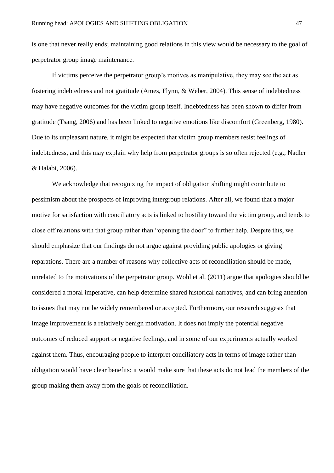is one that never really ends; maintaining good relations in this view would be necessary to the goal of perpetrator group image maintenance.

If victims perceive the perpetrator group's motives as manipulative, they may see the act as fostering indebtedness and not gratitude (Ames, Flynn, & Weber, 2004). This sense of indebtedness may have negative outcomes for the victim group itself. Indebtedness has been shown to differ from gratitude (Tsang, 2006) and has been linked to negative emotions like discomfort (Greenberg, 1980). Due to its unpleasant nature, it might be expected that victim group members resist feelings of indebtedness, and this may explain why help from perpetrator groups is so often rejected (e.g., Nadler & Halabi, 2006).

We acknowledge that recognizing the impact of obligation shifting might contribute to pessimism about the prospects of improving intergroup relations. After all, we found that a major motive for satisfaction with conciliatory acts is linked to hostility toward the victim group, and tends to close off relations with that group rather than "opening the door" to further help. Despite this, we should emphasize that our findings do not argue against providing public apologies or giving reparations. There are a number of reasons why collective acts of reconciliation should be made, unrelated to the motivations of the perpetrator group. Wohl et al. (2011) argue that apologies should be considered a moral imperative, can help determine shared historical narratives, and can bring attention to issues that may not be widely remembered or accepted. Furthermore, our research suggests that image improvement is a relatively benign motivation. It does not imply the potential negative outcomes of reduced support or negative feelings, and in some of our experiments actually worked against them. Thus, encouraging people to interpret conciliatory acts in terms of image rather than obligation would have clear benefits: it would make sure that these acts do not lead the members of the group making them away from the goals of reconciliation.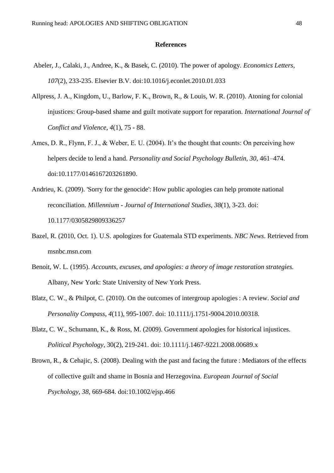#### **References**

- Abeler, J., Calaki, J., Andree, K., & Basek, C. (2010). The power of apology. *Economics Letters*, *107*(2), 233-235. Elsevier B.V. doi:10.1016/j.econlet.2010.01.033
- Allpress, J. A., Kingdom, U., Barlow, F. K., Brown, R., & Louis, W. R. (2010). Atoning for colonial injustices: Group-based shame and guilt motivate support for reparation. *International Journal of Conflict and Violence*, *4*(1), 75 - 88.
- Ames, D. R., Flynn, F. J., & Weber, E. U. (2004). It's the thought that counts: On perceiving how helpers decide to lend a hand. *Personality and Social Psychology Bulletin, 30*, 461–474. doi:10.1177/0146167203261890.
- Andrieu, K. (2009). 'Sorry for the genocide': How public apologies can help promote national reconciliation. *Millennium - Journal of International Studies*, *38*(1), 3-23. doi: 10.1177/0305829809336257
- Bazel, R. (2010, Oct. 1). U.S. apologizes for Guatemala STD experiments. *NBC News*. Retrieved from msnbc.msn.com
- Benoit, W. L. (1995). *Accounts, excuses, and apologies: a theory of image restoration strategies.*  Albany, New York: State University of New York Press.
- Blatz, C. W., & Philpot, C. (2010). On the outcomes of intergroup apologies : A review. *Social and Personality Compass*, *4*(11), 995-1007. doi: 10.1111/j.1751-9004.2010.00318.
- Blatz, C. W., Schumann, K., & Ross, M. (2009). Government apologies for historical injustices. *Political Psychology*, 30(2), 219-241. doi: 10.1111/j.1467-9221.2008.00689.x
- Brown, R., & Cehajic, S. (2008). Dealing with the past and facing the future : Mediators of the effects of collective guilt and shame in Bosnia and Herzegovina. *European Journal of Social Psychology*, *38*, 669-684. doi:10.1002/ejsp.466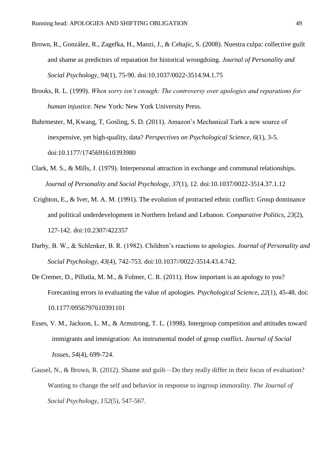- Brown, R., González, R., Zagefka, H., Manzi, J., & Cehajic, S. (2008). Nuestra culpa: collective guilt and shame as predictors of reparation for historical wrongdoing. *Journal of Personality and Social Psychology, 94*(1), 75-90. doi:10.1037/0022-3514.94.1.75
- Brooks, R. L. (1999). *When sorry isn't enough: The controversy over apologies and reparations for human injustice.* New York: New York University Press.
- Buhrmester, M, Kwang, T, Gosling, S. D. (2011). Amazon's Mechanical Turk a new source of inexpensive, yet high-quality, data? *Perspectives on Psychological Science, 6*(1), 3-5. doi:10.1177/1745691610393980
- Clark, M. S., & Mills, J. (1979). Interpersonal attraction in exchange and communal relationships. *Journal of Personality and Social Psychology*, *37*(1), 12. doi:10.1037/0022-3514.37.1.12
- Crighton, E., & Iver, M. A. M. (1991). The evolution of protracted ethnic conflict: Group dominance and political underdevelopment in Northern Ireland and Lebanon. *Comparative Politics*, *23*(2), 127-142. doi:10.2307/422357
- Darby, B. W., & Schlenker, B. R. (1982). Children's reactions to apologies. *Journal of Personality and Social Psychology*, *43*(4), 742-753. doi:10.1037//0022-3514.43.4.742.
- De Cremer, D., Pillutla, M. M., & Folmer, C. R. (2011). How important is an apology to you? Forecasting errors in evaluating the value of apologies. *Psychological Science, 22*(1), 45-48. doi: 10.1177/0956797610391101
- Esses, V. M., Jackson, L. M., & Armstrong, T. L. (1998). Intergroup competition and attitudes toward immigrants and immigration: An instrumental model of group conflict. *Journal of Social Issues*, *54*(4), 699-724.
- Gausel, N., & Brown, R. (2012). Shame and guilt—Do they really differ in their focus of evaluation? Wanting to change the self and behavior in response to ingroup immorality. *The Journal of Social Psychology*, *152*(5), 547-567.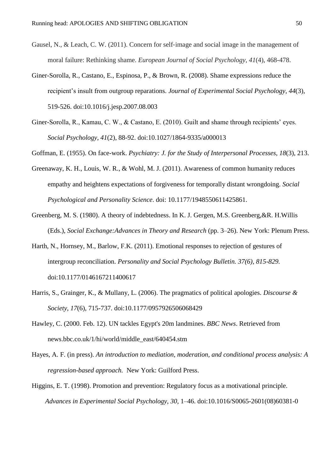- Gausel, N., & Leach, C. W. (2011). Concern for self‐image and social image in the management of moral failure: Rethinking shame. *European Journal of Social Psychology*, *41*(4), 468-478.
- Giner-Sorolla, R., Castano, E., Espinosa, P., & Brown, R. (2008). Shame expressions reduce the recipient's insult from outgroup reparations. *Journal of Experimental Social Psychology*, *44*(3), 519-526. doi:10.1016/j.jesp.2007.08.003
- Giner-Sorolla, R., Kamau, C. W., & Castano, E. (2010). Guilt and shame through recipients' eyes. *Social Psychology*, *41*(2), 88-92. doi:10.1027/1864-9335/a000013

Goffman, E. (1955). On face-work. *Psychiatry: J. for the Study of Interpersonal Processes*, *18*(3), 213.

- Greenaway, K. H., Louis, W. R., & Wohl, M. J. (2011). Awareness of common humanity reduces empathy and heightens expectations of forgiveness for temporally distant wrongdoing. *Social Psychological and Personality Science*. doi: 10.1177/1948550611425861.
- Greenberg, M. S. (1980). A theory of indebtedness. In K. J. Gergen, M.S. Greenberg,&R. H.Willis (Eds.), *Social Exchange:Advances in Theory and Research* (pp. 3–26). New York: Plenum Press.
- Harth, N., Hornsey, M., Barlow, F.K. (2011). Emotional responses to rejection of gestures of intergroup reconciliation. *Personality and Social Psychology Bulletin. 37(6), 815-829.*  doi:10.1177/0146167211400617
- Harris, S., Grainger, K., & Mullany, L. (2006). The pragmatics of political apologies. *Discourse & Society*, *17*(6), 715-737. doi:10.1177/0957926506068429
- Hawley, C. (2000. Feb. 12). UN tackles Egypt's 20m landmines. *BBC News*. Retrieved fro[m](http://news.bbc.co.uk/1/hi/world/middle_east/640454.stm) [news.bbc.co.uk/1/hi/world/middle\\_east/640454.stm](http://news.bbc.co.uk/1/hi/world/middle_east/640454.stm)
- Hayes, A. F. (in press). *An introduction to mediation, moderation, and conditional process analysis: A regression-based approach.* New York: Guilford Press.
- Higgins, E. T. (1998). Promotion and prevention: Regulatory focus as a motivational principle. *Advances in Experimental Social Psychology*, *30*, 1–46. doi:10.1016/S0065-2601(08)60381-0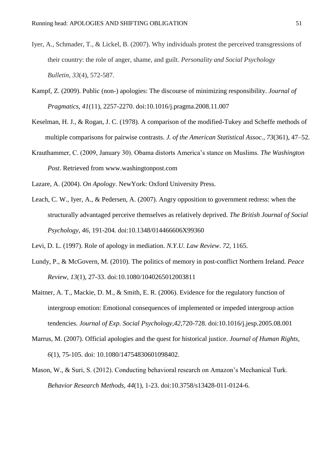- Iyer, A., Schmader, T., & Lickel, B. (2007). Why individuals protest the perceived transgressions of their country: the role of anger, shame, and guilt. *Personality and Social Psychology Bulletin*, *33*(4), 572-587.
- Kampf, Z. (2009). Public (non-) apologies: The discourse of minimizing responsibility. *Journal of Pragmatics*, *41*(11), 2257-2270. doi:10.1016/j.pragma.2008.11.007
- Keselman, H. J., & Rogan, J. C. (1978). A comparison of the modified-Tukey and Scheffe methods of multiple comparisons for pairwise contrasts. *J. of the American Statistical Assoc.*, *73*(361), 47–52.
- Krauthammer, C. (2009, January 30). Obama distorts America's stance on Muslims. *The Washington Post*. Retrieved from [www.washingtonpost.com](http://www.washingtonpost.com/wp-dyn/content/article/2009/01/29/AR2009012903444.html)

Lazare, A. (2004). *On Apology*. NewYork: Oxford University Press.

Leach, C. W., Iyer, A., & Pedersen, A. (2007). Angry opposition to government redress: when the structurally advantaged perceive themselves as relatively deprived. *The British Journal of Social Psychology*, *46*, 191-204. doi:10.1348/014466606X99360

Levi, D. L. (1997). Role of apology in mediation. *N.Y.U. Law Review*. *72*, 1165.

- Lundy, P., & McGovern, M. (2010). The politics of memory in post-conflict Northern Ireland. *Peace Review*, *13*(1), 27-33. doi:10.1080/1040265012003811
- Maitner, A. T., Mackie, D. M., & Smith, E. R. (2006). Evidence for the regulatory function of intergroup emotion: Emotional consequences of implemented or impeded intergroup action tendencies. *Journal of Exp. Social Psychology,42*,720-728. doi:10.1016/j.jesp.2005.08.001
- Marrus, M. (2007). Official apologies and the quest for historical justice. *Journal of Human Rights, 6*(1), 75-105. doi: 10.1080/14754830601098402.
- Mason, W., & Suri, S. (2012). Conducting behavioral research on Amazon's Mechanical Turk. *Behavior Research Methods*, *44*(1), 1-23. doi:10.3758/s13428-011-0124-6.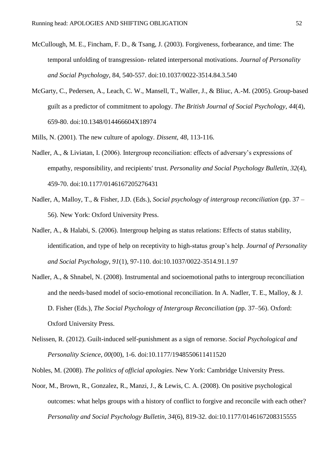- McCullough, M. E., Fincham, F. D., & Tsang, J. (2003). Forgiveness, forbearance, and time: The temporal unfolding of transgression- related interpersonal motivations. *Journal of Personality and Social Psychology,* 84, 540-557. doi:10.1037/0022-3514.84.3.540
- McGarty, C., Pedersen, A., Leach, C. W., Mansell, T., Waller, J., & Bliuc, A.-M. (2005). Group-based guilt as a predictor of commitment to apology. *The British Journal of Social Psychology*, *44*(4), 659-80. doi:10.1348/014466604X18974

Mills, N. (2001). The new culture of apology. *Dissent, 48*, 113-116.

- Nadler, A., & Liviatan, I. (2006). Intergroup reconciliation: effects of adversary's expressions of empathy, responsibility, and recipients' trust. *Personality and Social Psychology Bulletin*, *32*(4), 459-70. doi:10.1177/0146167205276431
- Nadler, A, Malloy, T., & Fisher, J.D. (Eds.), *Social psychology of intergroup reconciliation* (pp. 37 56). New York: Oxford University Press.
- Nadler, A., & Halabi, S. (2006). Intergroup helping as status relations: Effects of status stability, identification, and type of help on receptivity to high-status group's help. *Journal of Personality and Social Psychology*, *91*(1), 97-110. doi:10.1037/0022-3514.91.1.97
- Nadler, A., & Shnabel, N. (2008). Instrumental and socioemotional paths to intergroup reconciliation and the needs-based model of socio-emotional reconciliation. In A. Nadler, T. E., Malloy, & J. D. Fisher (Eds.), *The Social Psychology of Intergroup Reconciliation* (pp. 37–56). Oxford: Oxford University Press.
- Nelissen, R. (2012). Guilt-induced self-punishment as a sign of remorse. *Social Psychological and Personality Science*, *00*(00), 1-6. doi:10.1177/1948550611411520

Nobles, M. (2008). *The politics of official apologies*. New York: Cambridge University Press.

Noor, M., Brown, R., Gonzalez, R., Manzi, J., & Lewis, C. A. (2008). On positive psychological outcomes: what helps groups with a history of conflict to forgive and reconcile with each other? *Personality and Social Psychology Bulletin*, *34*(6), 819-32. doi:10.1177/0146167208315555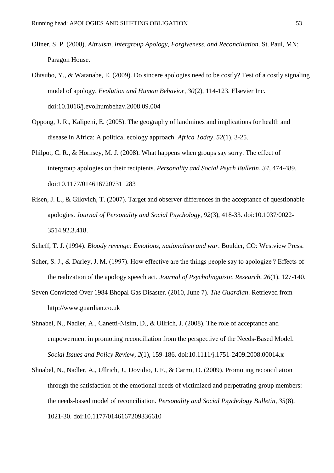- Oliner, S. P. (2008). *Altruism, Intergroup Apology, Forgiveness, and Reconciliation*. St. Paul, MN; Paragon House.
- Ohtsubo, Y., & Watanabe, E. (2009). Do sincere apologies need to be costly? Test of a costly signaling model of apology. *Evolution and Human Behavior*, *30*(2), 114-123. Elsevier Inc. doi:10.1016/j.evolhumbehav.2008.09.004
- Oppong, J. R., Kalipeni, E. (2005). The geography of landmines and implications for health and disease in Africa: A political ecology approach. *Africa Today, 52*(1), 3-25.
- Philpot, C. R., & Hornsey, M. J. (2008). What happens when groups say sorry: The effect of intergroup apologies on their recipients. *Personality and Social Psych Bulletin*, *34*, 474-489. doi:10.1177/0146167207311283
- Risen, J. L., & Gilovich, T. (2007). Target and observer differences in the acceptance of questionable apologies. *Journal of Personality and Social Psychology*, *92*(3), 418-33. doi:10.1037/0022- 3514.92.3.418.
- Scheff, T. J. (1994). *Bloody revenge: Emotions, nationalism and war*. Boulder, CO: Westview Press.
- Scher, S. J., & Darley, J. M. (1997). How effective are the things people say to apologize ? Effects of the realization of the apology speech act. *Journal of Psycholinguistic Research*, *26*(1), 127-140.
- Seven Convicted Over 1984 Bhopal Gas Disaster. (2010, June 7). *The Guardian*. Retrieved from http://www.guardian.co.uk
- Shnabel, N., Nadler, A., Canetti-Nisim, D., & Ullrich, J. (2008). The role of acceptance and empowerment in promoting reconciliation from the perspective of the Needs-Based Model. *Social Issues and Policy Review*, *2*(1), 159-186. doi:10.1111/j.1751-2409.2008.00014.x
- Shnabel, N., Nadler, A., Ullrich, J., Dovidio, J. F., & Carmi, D. (2009). Promoting reconciliation through the satisfaction of the emotional needs of victimized and perpetrating group members: the needs-based model of reconciliation. *Personality and Social Psychology Bulletin*, *35*(8), 1021-30. doi:10.1177/0146167209336610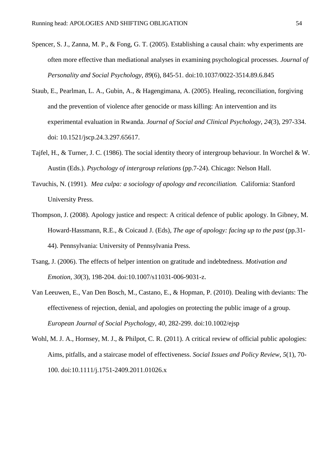- Spencer, S. J., Zanna, M. P., & Fong, G. T. (2005). Establishing a causal chain: why experiments are often more effective than mediational analyses in examining psychological processes. *Journal of Personality and Social Psychology*, *89*(6), 845-51. doi:10.1037/0022-3514.89.6.845
- Staub, E., Pearlman, L. A., Gubin, A., & Hagengimana, A. (2005). Healing, reconciliation, forgiving and the prevention of violence after genocide or mass killing: An intervention and its experimental evaluation in Rwanda. *Journal of Social and Clinical Psychology*, *24*(3), 297-334. doi: 10.1521/jscp.24.3.297.65617.
- Tajfel, H., & Turner, J. C. (1986). The social identity theory of intergroup behaviour. In Worchel & W. Austin (Eds.). *Psychology of intergroup relations* (pp.7-24). Chicago: Nelson Hall.
- Tavuchis, N. (1991). *Mea culpa: a sociology of apology and reconciliation.* California: Stanford University Press.
- Thompson, J. (2008). Apology justice and respect: A critical defence of public apology. In Gibney, M. Howard-Hassmann, R.E., & Coicaud J. (Eds), *The age of apology: facing up to the past* (pp.31- 44). Pennsylvania: University of Pennsylvania Press.
- Tsang, J. (2006). The effects of helper intention on gratitude and indebtedness. *Motivation and Emotion*, *30*(3), 198-204. doi:10.1007/s11031-006-9031-z.
- Van Leeuwen, E., Van Den Bosch, M., Castano, E., & Hopman, P. (2010). Dealing with deviants: The effectiveness of rejection, denial, and apologies on protecting the public image of a group. *European Journal of Social Psychology*, *40*, 282-299. doi:10.1002/ejsp
- Wohl, M. J. A., Hornsey, M. J., & Philpot, C. R. (2011). A critical review of official public apologies: Aims, pitfalls, and a staircase model of effectiveness. *Social Issues and Policy Review*, *5*(1), 70- 100. doi:10.1111/j.1751-2409.2011.01026.x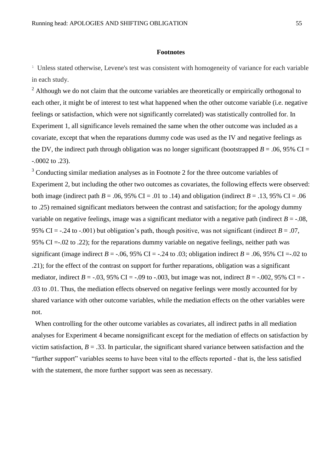#### **Footnotes**

<sup>1</sup> Unless stated otherwise, Levene's test was consistent with homogeneity of variance for each variable in each study.

 $2$  Although we do not claim that the outcome variables are theoretically or empirically orthogonal to each other, it might be of interest to test what happened when the other outcome variable (i.e. negative feelings or satisfaction, which were not significantly correlated) was statistically controlled for. In Experiment 1, all significance levels remained the same when the other outcome was included as a covariate, except that when the reparations dummy code was used as the IV and negative feelings as the DV, the indirect path through obligation was no longer significant (bootstrapped  $B = .06, 95\%$  CI = -.0002 to .23).

 $3$  Conducting similar mediation analyses as in Footnote 2 for the three outcome variables of Experiment 2, but including the other two outcomes as covariates, the following effects were observed: both image (indirect path  $B = .06$ , 95% CI = .01 to .14) and obligation (indirect  $B = .13$ , 95% CI = .06 to .25) remained significant mediators between the contrast and satisfaction; for the apology dummy variable on negative feelings, image was a significant mediator with a negative path (indirect  $B = -0.08$ , 95% CI =  $-.24$  to  $-.001$ ) but obligation's path, though positive, was not significant (indirect  $B = .07$ , 95% CI =-.02 to .22); for the reparations dummy variable on negative feelings, neither path was significant (image indirect  $B = -0.06$ , 95% CI = -.24 to .03; obligation indirect  $B = 0.06$ , 95% CI = -.02 to .21); for the effect of the contrast on support for further reparations, obligation was a significant mediator, indirect  $B = -0.03$ , 95% CI =  $-0.09$  to  $-0.003$ , but image was not, indirect  $B = -0.002$ , 95% CI =  $-$ .03 to .01. Thus, the mediation effects observed on negative feelings were mostly accounted for by shared variance with other outcome variables, while the mediation effects on the other variables were not.

When controlling for the other outcome variables as covariates, all indirect paths in all mediation analyses for Experiment 4 became nonsignificant except for the mediation of effects on satisfaction by victim satisfaction,  $B = 0.33$ . In particular, the significant shared variance between satisfaction and the "further support" variables seems to have been vital to the effects reported - that is, the less satisfied with the statement, the more further support was seen as necessary.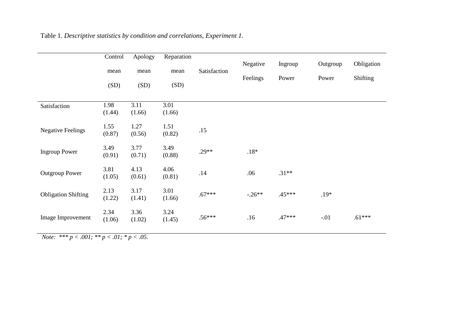|                            | Control        | Apology        | Reparation     |              | Negative | Ingroup  | Outgroup | Obligation |
|----------------------------|----------------|----------------|----------------|--------------|----------|----------|----------|------------|
|                            | mean           | mean           | mean           | Satisfaction | Feelings | Power    | Power    | Shifting   |
|                            | (SD)           | (SD)           | (SD)           |              |          |          |          |            |
| Satisfaction               | 1.98<br>(1.44) | 3.11<br>(1.66) | 3.01<br>(1.66) |              |          |          |          |            |
| <b>Negative Feelings</b>   | 1.55<br>(0.87) | 1.27<br>(0.56) | 1.51<br>(0.82) | .15          |          |          |          |            |
| <b>Ingroup Power</b>       | 3.49<br>(0.91) | 3.77<br>(0.71) | 3.49<br>(0.88) | $.29**$      | $.18*$   |          |          |            |
| <b>Outgroup Power</b>      | 3.81<br>(1.05) | 4.13<br>(0.61) | 4.06<br>(0.81) | .14          | .06      | $.31**$  |          |            |
| <b>Obligation Shifting</b> | 2.13<br>(1.22) | 3.17<br>(1.41) | 3.01<br>(1.66) | $.67***$     | $-.26**$ | $.45***$ | $.19*$   |            |
| Image Improvement          | 2.34<br>(1.06) | 3.36<br>(1.02) | 3.24<br>(1.45) | $.56***$     | .16      | $.47***$ | $-.01$   | $.61***$   |

Table 1. *Descriptive statistics by condition and correlations, Experiment 1.*

*Note: \*\*\* p < .001; \*\* p < .01; \* p < .05.*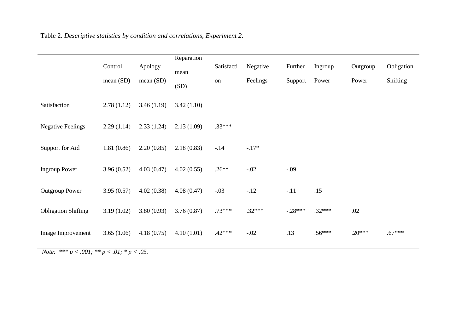|                            | Control    | Apology    | Reparation<br>mean | Satisfacti | Negative | Further   | Ingroup  | Outgroup | Obligation |
|----------------------------|------------|------------|--------------------|------------|----------|-----------|----------|----------|------------|
|                            | mean(SD)   | mean(SD)   | (SD)               | on         | Feelings | Support   | Power    | Power    | Shifting   |
| Satisfaction               | 2.78(1.12) | 3.46(1.19) | 3.42(1.10)         |            |          |           |          |          |            |
| <b>Negative Feelings</b>   | 2.29(1.14) | 2.33(1.24) | 2.13(1.09)         | $.33***$   |          |           |          |          |            |
| Support for Aid            | 1.81(0.86) | 2.20(0.85) | 2.18(0.83)         | $-14$      | $-.17*$  |           |          |          |            |
| <b>Ingroup Power</b>       | 3.96(0.52) | 4.03(0.47) | 4.02(0.55)         | $.26**$    | $-.02$   | $-.09$    |          |          |            |
| <b>Outgroup Power</b>      | 3.95(0.57) | 4.02(0.38) | 4.08(0.47)         | $-.03$     | $-.12$   | $-.11$    | .15      |          |            |
| <b>Obligation Shifting</b> | 3.19(1.02) | 3.80(0.93) | 3.76(0.87)         | $.73***$   | $.32***$ | $-.28***$ | $.32***$ | .02      |            |
| Image Improvement          | 3.65(1.06) | 4.18(0.75) | 4.10(1.01)         | $.42***$   | $-.02$   | .13       | $.56***$ | $.20***$ | $.67***$   |

Table 2. *Descriptive statistics by condition and correlations, Experiment 2.*

*Note: \*\*\* p < .001; \*\* p < .01; \* p < .05.*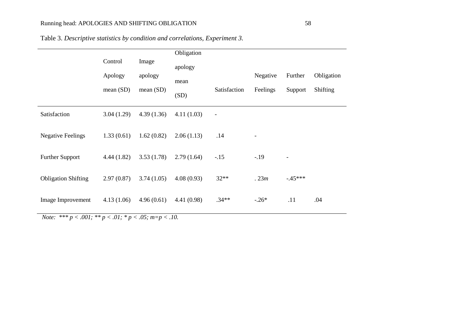$\mathbf{r}$ 

|                            | Control<br>Apology<br>mean $(SD)$ | Image<br>apology<br>mean $(SD)$ | Obligation<br>apology<br>mean<br>(SD) | Satisfaction             | Negative<br>Feelings     | Further<br>Support       | Obligation<br>Shifting |
|----------------------------|-----------------------------------|---------------------------------|---------------------------------------|--------------------------|--------------------------|--------------------------|------------------------|
| Satisfaction               | 3.04(1.29)                        | 4.39(1.36)                      | 4.11(1.03)                            | $\overline{\phantom{a}}$ |                          |                          |                        |
| <b>Negative Feelings</b>   | 1.33(0.61)                        | 1.62(0.82)                      | 2.06(1.13)                            | .14                      | $\overline{\phantom{a}}$ |                          |                        |
| <b>Further Support</b>     | 4.44(1.82)                        | 3.53(1.78)                      | 2.79(1.64)                            | $-.15$                   | $-19$                    | $\overline{\phantom{a}}$ |                        |
| <b>Obligation Shifting</b> | 2.97(0.87)                        | 3.74(1.05)                      | 4.08(0.93)                            | $32**$                   | .23m                     | $-45***$                 |                        |
| Image Improvement          | 4.13(1.06)                        | 4.96(0.61)                      | 4.41(0.98)                            | $.34**$                  | $-.26*$                  | .11                      | .04                    |

Table 3. *Descriptive statistics by condition and correlations, Experiment 3.*

*Note: \*\*\* p < .001; \*\* p < .01; \* p < .05; m=p < .10.*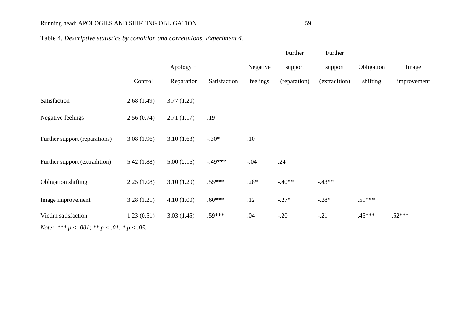Table 4. *Descriptive statistics by condition and correlations, Experiment 4.*

|                               |            |             |              |          | Further      | Further       |            |             |
|-------------------------------|------------|-------------|--------------|----------|--------------|---------------|------------|-------------|
|                               |            | $Apology +$ |              | Negative | support      | support       | Obligation | Image       |
|                               | Control    | Reparation  | Satisfaction | feelings | (reparation) | (extradition) | shifting   | improvement |
| Satisfaction                  | 2.68(1.49) | 3.77(1.20)  |              |          |              |               |            |             |
| Negative feelings             | 2.56(0.74) | 2.71(1.17)  | .19          |          |              |               |            |             |
| Further support (reparations) | 3.08(1.96) | 3.10(1.63)  | $-.30*$      | .10      |              |               |            |             |
| Further support (extradition) | 5.42(1.88) | 5.00(2.16)  | $-49***$     | $-.04$   | .24          |               |            |             |
| Obligation shifting           | 2.25(1.08) | 3.10(1.20)  | $.55***$     | $.28*$   | $-.40**$     | $-43**$       |            |             |
| Image improvement             | 3.28(1.21) | 4.10(1.00)  | $.60***$     | .12      | $-.27*$      | $-.28*$       | $.59***$   |             |
| Victim satisfaction           | 1.23(0.51) | 3.03(1.45)  | $.59***$     | .04      | $-.20$       | $-.21$        | $.45***$   | $.52***$    |

*Note: \*\*\* p < .001; \*\* p < .01; \* p < .05.*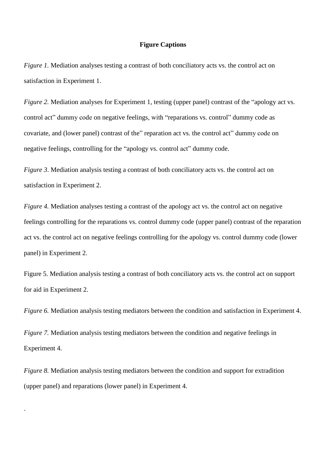## **Figure Captions**

*Figure 1.* Mediation analyses testing a contrast of both conciliatory acts vs. the control act on satisfaction in Experiment 1.

*Figure 2.* Mediation analyses for Experiment 1, testing (upper panel) contrast of the "apology act vs. control act" dummy code on negative feelings, with "reparations vs. control" dummy code as covariate, and (lower panel) contrast of the" reparation act vs. the control act" dummy code on negative feelings, controlling for the "apology vs. control act" dummy code.

*Figure 3*. Mediation analysis testing a contrast of both conciliatory acts vs. the control act on satisfaction in Experiment 2.

*Figure 4.* Mediation analyses testing a contrast of the apology act vs. the control act on negative feelings controlling for the reparations vs. control dummy code (upper panel) contrast of the reparation act vs. the control act on negative feelings controlling for the apology vs. control dummy code (lower panel) in Experiment 2.

Figure 5. Mediation analysis testing a contrast of both conciliatory acts vs. the control act on support for aid in Experiment 2.

*Figure 6.* Mediation analysis testing mediators between the condition and satisfaction in Experiment 4.

*Figure 7.* Mediation analysis testing mediators between the condition and negative feelings in Experiment 4.

*Figure 8.* Mediation analysis testing mediators between the condition and support for extradition (upper panel) and reparations (lower panel) in Experiment 4.

.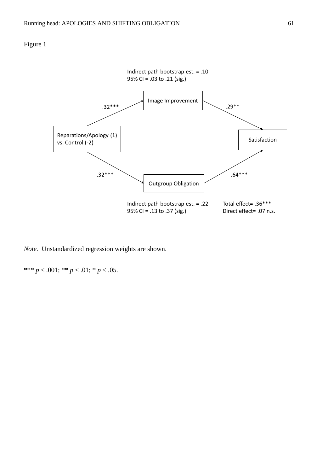

*Note.* Unstandardized regression weights are shown.

\*\*\*  $p < .001$ ; \*\*  $p < .01$ ; \*  $p < .05$ .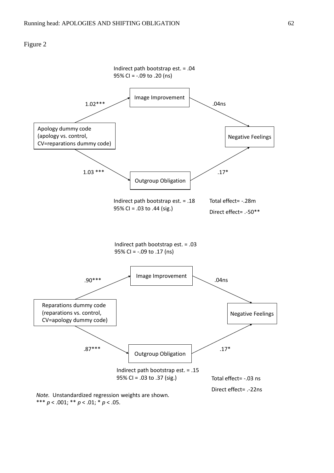

\*\*\* *p* < .001; \*\* *p* < .01; \* *p* < .05.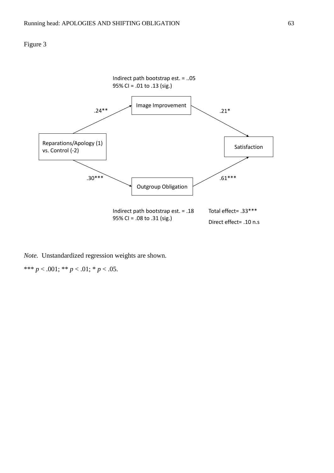

*Note.* Unstandardized regression weights are shown.

\*\*\*  $p < .001$ ; \*\*  $p < .01$ ; \*  $p < .05$ .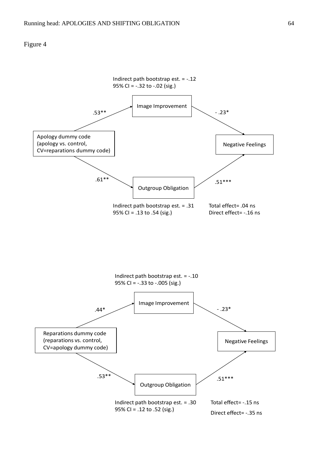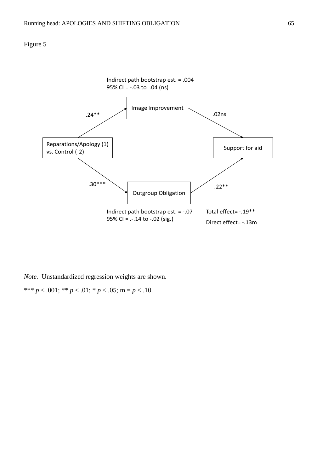

*Note.* Unstandardized regression weights are shown.

\*\*\* *p* < .001; \*\* *p* < .01; \* *p* < .05; m = *p* < .10.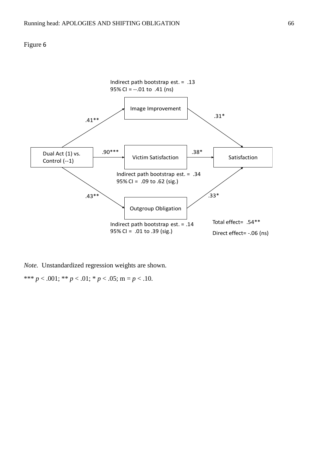

*Note.* Unstandardized regression weights are shown. \*\*\* *p* < .001; \*\* *p* < .01; \* *p* < .05; m = *p* < .10.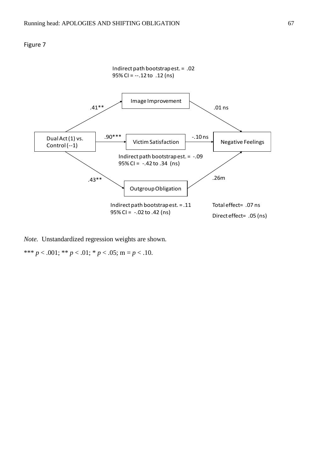

*Note.* Unstandardized regression weights are shown.

\*\*\* *p* < .001; \*\* *p* < .01; \* *p* < .05; m = *p* < .10.